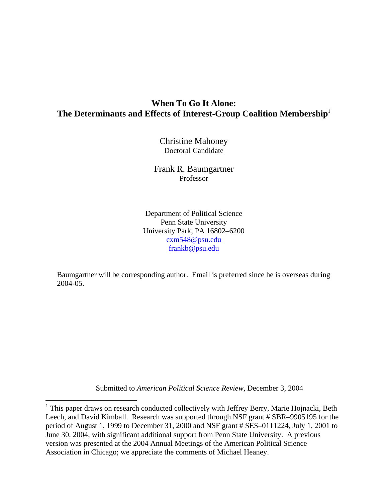# **When To Go It Alone: The Determinants and Effects of Interest-Group Coalition Membership**<sup>1</sup>

Christine Mahoney Doctoral Candidate

Frank R. Baumgartner Professor

Department of Political Science Penn State University University Park, PA 16802–6200 cxm548@psu.edu frankb@psu.edu

Baumgartner will be corresponding author. Email is preferred since he is overseas during 2004-05.

Submitted to *American Political Science Review*, December 3, 2004

<sup>&</sup>lt;sup>1</sup> This paper draws on research conducted collectively with Jeffrey Berry, Marie Hojnacki, Beth Leech, and David Kimball. Research was supported through NSF grant # SBR–9905195 for the period of August 1, 1999 to December 31, 2000 and NSF grant # SES–0111224, July 1, 2001 to June 30, 2004, with significant additional support from Penn State University. A previous version was presented at the 2004 Annual Meetings of the American Political Science Association in Chicago; we appreciate the comments of Michael Heaney.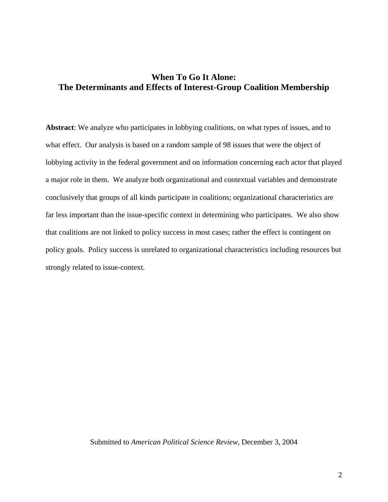# **When To Go It Alone: The Determinants and Effects of Interest-Group Coalition Membership**

**Abstract**: We analyze who participates in lobbying coalitions, on what types of issues, and to what effect. Our analysis is based on a random sample of 98 issues that were the object of lobbying activity in the federal government and on information concerning each actor that played a major role in them. We analyze both organizational and contextual variables and demonstrate conclusively that groups of all kinds participate in coalitions; organizational characteristics are far less important than the issue-specific context in determining who participates. We also show that coalitions are not linked to policy success in most cases; rather the effect is contingent on policy goals. Policy success is unrelated to organizational characteristics including resources but strongly related to issue-context.

#### Submitted to *American Political Science Review*, December 3, 2004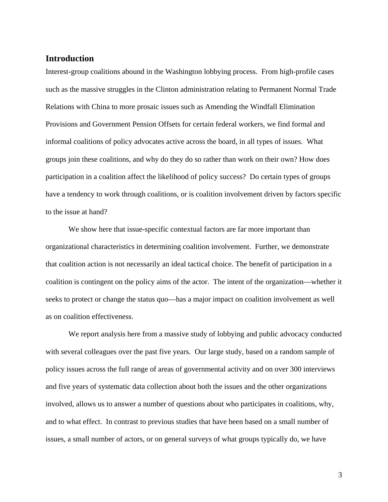## **Introduction**

Interest-group coalitions abound in the Washington lobbying process. From high-profile cases such as the massive struggles in the Clinton administration relating to Permanent Normal Trade Relations with China to more prosaic issues such as Amending the Windfall Elimination Provisions and Government Pension Offsets for certain federal workers, we find formal and informal coalitions of policy advocates active across the board, in all types of issues. What groups join these coalitions, and why do they do so rather than work on their own? How does participation in a coalition affect the likelihood of policy success? Do certain types of groups have a tendency to work through coalitions, or is coalition involvement driven by factors specific to the issue at hand?

We show here that issue-specific contextual factors are far more important than organizational characteristics in determining coalition involvement. Further, we demonstrate that coalition action is not necessarily an ideal tactical choice. The benefit of participation in a coalition is contingent on the policy aims of the actor. The intent of the organization—whether it seeks to protect or change the status quo—has a major impact on coalition involvement as well as on coalition effectiveness.

We report analysis here from a massive study of lobbying and public advocacy conducted with several colleagues over the past five years. Our large study, based on a random sample of policy issues across the full range of areas of governmental activity and on over 300 interviews and five years of systematic data collection about both the issues and the other organizations involved, allows us to answer a number of questions about who participates in coalitions, why, and to what effect. In contrast to previous studies that have been based on a small number of issues, a small number of actors, or on general surveys of what groups typically do, we have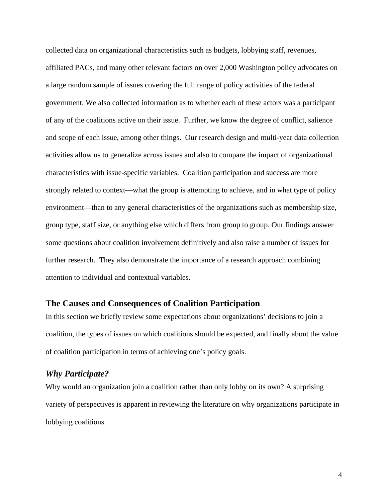collected data on organizational characteristics such as budgets, lobbying staff, revenues, affiliated PACs, and many other relevant factors on over 2,000 Washington policy advocates on a large random sample of issues covering the full range of policy activities of the federal government. We also collected information as to whether each of these actors was a participant of any of the coalitions active on their issue. Further, we know the degree of conflict, salience and scope of each issue, among other things. Our research design and multi-year data collection activities allow us to generalize across issues and also to compare the impact of organizational characteristics with issue-specific variables. Coalition participation and success are more strongly related to context—what the group is attempting to achieve, and in what type of policy environment—than to any general characteristics of the organizations such as membership size, group type, staff size, or anything else which differs from group to group. Our findings answer some questions about coalition involvement definitively and also raise a number of issues for further research. They also demonstrate the importance of a research approach combining attention to individual and contextual variables.

#### **The Causes and Consequences of Coalition Participation**

In this section we briefly review some expectations about organizations' decisions to join a coalition, the types of issues on which coalitions should be expected, and finally about the value of coalition participation in terms of achieving one's policy goals.

## *Why Participate?*

Why would an organization join a coalition rather than only lobby on its own? A surprising variety of perspectives is apparent in reviewing the literature on why organizations participate in lobbying coalitions.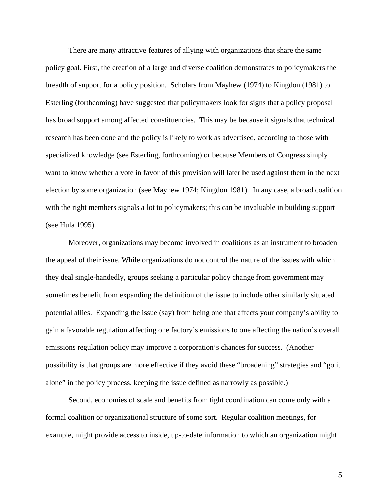There are many attractive features of allying with organizations that share the same policy goal. First, the creation of a large and diverse coalition demonstrates to policymakers the breadth of support for a policy position. Scholars from Mayhew (1974) to Kingdon (1981) to Esterling (forthcoming) have suggested that policymakers look for signs that a policy proposal has broad support among affected constituencies. This may be because it signals that technical research has been done and the policy is likely to work as advertised, according to those with specialized knowledge (see Esterling, forthcoming) or because Members of Congress simply want to know whether a vote in favor of this provision will later be used against them in the next election by some organization (see Mayhew 1974; Kingdon 1981). In any case, a broad coalition with the right members signals a lot to policymakers; this can be invaluable in building support (see Hula 1995).

Moreover, organizations may become involved in coalitions as an instrument to broaden the appeal of their issue. While organizations do not control the nature of the issues with which they deal single-handedly, groups seeking a particular policy change from government may sometimes benefit from expanding the definition of the issue to include other similarly situated potential allies. Expanding the issue (say) from being one that affects your company's ability to gain a favorable regulation affecting one factory's emissions to one affecting the nation's overall emissions regulation policy may improve a corporation's chances for success. (Another possibility is that groups are more effective if they avoid these "broadening" strategies and "go it alone" in the policy process, keeping the issue defined as narrowly as possible.)

Second, economies of scale and benefits from tight coordination can come only with a formal coalition or organizational structure of some sort. Regular coalition meetings, for example, might provide access to inside, up-to-date information to which an organization might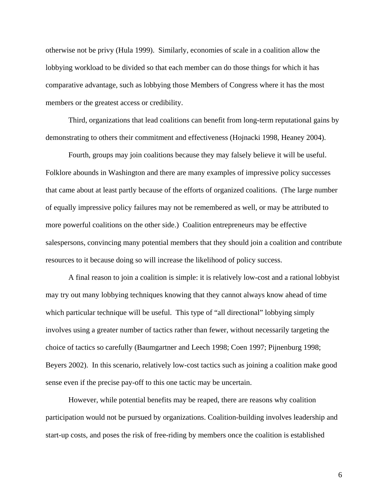otherwise not be privy (Hula 1999). Similarly, economies of scale in a coalition allow the lobbying workload to be divided so that each member can do those things for which it has comparative advantage, such as lobbying those Members of Congress where it has the most members or the greatest access or credibility.

Third, organizations that lead coalitions can benefit from long-term reputational gains by demonstrating to others their commitment and effectiveness (Hojnacki 1998, Heaney 2004).

Fourth, groups may join coalitions because they may falsely believe it will be useful. Folklore abounds in Washington and there are many examples of impressive policy successes that came about at least partly because of the efforts of organized coalitions. (The large number of equally impressive policy failures may not be remembered as well, or may be attributed to more powerful coalitions on the other side.) Coalition entrepreneurs may be effective salespersons, convincing many potential members that they should join a coalition and contribute resources to it because doing so will increase the likelihood of policy success.

A final reason to join a coalition is simple: it is relatively low-cost and a rational lobbyist may try out many lobbying techniques knowing that they cannot always know ahead of time which particular technique will be useful. This type of "all directional" lobbying simply involves using a greater number of tactics rather than fewer, without necessarily targeting the choice of tactics so carefully (Baumgartner and Leech 1998; Coen 1997; Pijnenburg 1998; Beyers 2002). In this scenario, relatively low-cost tactics such as joining a coalition make good sense even if the precise pay-off to this one tactic may be uncertain.

However, while potential benefits may be reaped, there are reasons why coalition participation would not be pursued by organizations. Coalition-building involves leadership and start-up costs, and poses the risk of free-riding by members once the coalition is established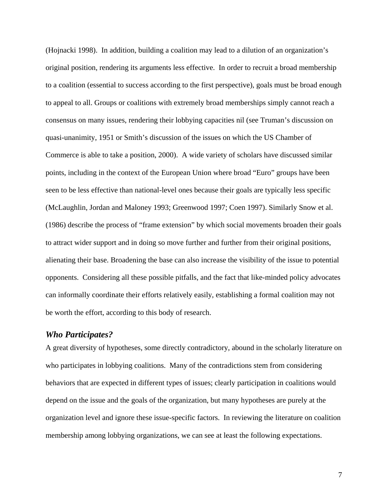(Hojnacki 1998). In addition, building a coalition may lead to a dilution of an organization's original position, rendering its arguments less effective. In order to recruit a broad membership to a coalition (essential to success according to the first perspective), goals must be broad enough to appeal to all. Groups or coalitions with extremely broad memberships simply cannot reach a consensus on many issues, rendering their lobbying capacities nil (see Truman's discussion on quasi-unanimity, 1951 or Smith's discussion of the issues on which the US Chamber of Commerce is able to take a position, 2000). A wide variety of scholars have discussed similar points, including in the context of the European Union where broad "Euro" groups have been seen to be less effective than national-level ones because their goals are typically less specific (McLaughlin, Jordan and Maloney 1993; Greenwood 1997; Coen 1997). Similarly Snow et al. (1986) describe the process of "frame extension" by which social movements broaden their goals to attract wider support and in doing so move further and further from their original positions, alienating their base. Broadening the base can also increase the visibility of the issue to potential opponents. Considering all these possible pitfalls, and the fact that like-minded policy advocates can informally coordinate their efforts relatively easily, establishing a formal coalition may not be worth the effort, according to this body of research.

#### *Who Participates?*

A great diversity of hypotheses, some directly contradictory, abound in the scholarly literature on who participates in lobbying coalitions. Many of the contradictions stem from considering behaviors that are expected in different types of issues; clearly participation in coalitions would depend on the issue and the goals of the organization, but many hypotheses are purely at the organization level and ignore these issue-specific factors. In reviewing the literature on coalition membership among lobbying organizations, we can see at least the following expectations.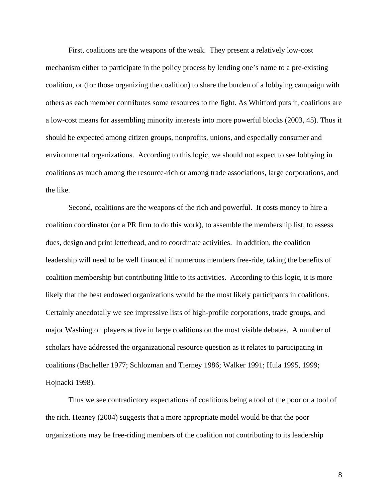First, coalitions are the weapons of the weak. They present a relatively low-cost mechanism either to participate in the policy process by lending one's name to a pre-existing coalition, or (for those organizing the coalition) to share the burden of a lobbying campaign with others as each member contributes some resources to the fight. As Whitford puts it, coalitions are a low-cost means for assembling minority interests into more powerful blocks (2003, 45). Thus it should be expected among citizen groups, nonprofits, unions, and especially consumer and environmental organizations. According to this logic, we should not expect to see lobbying in coalitions as much among the resource-rich or among trade associations, large corporations, and the like.

Second, coalitions are the weapons of the rich and powerful. It costs money to hire a coalition coordinator (or a PR firm to do this work), to assemble the membership list, to assess dues, design and print letterhead, and to coordinate activities. In addition, the coalition leadership will need to be well financed if numerous members free-ride, taking the benefits of coalition membership but contributing little to its activities. According to this logic, it is more likely that the best endowed organizations would be the most likely participants in coalitions. Certainly anecdotally we see impressive lists of high-profile corporations, trade groups, and major Washington players active in large coalitions on the most visible debates. A number of scholars have addressed the organizational resource question as it relates to participating in coalitions (Bacheller 1977; Schlozman and Tierney 1986; Walker 1991; Hula 1995, 1999; Hojnacki 1998).

Thus we see contradictory expectations of coalitions being a tool of the poor or a tool of the rich. Heaney (2004) suggests that a more appropriate model would be that the poor organizations may be free-riding members of the coalition not contributing to its leadership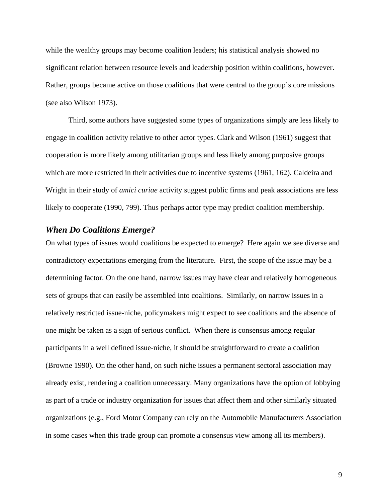while the wealthy groups may become coalition leaders; his statistical analysis showed no significant relation between resource levels and leadership position within coalitions, however. Rather, groups became active on those coalitions that were central to the group's core missions (see also Wilson 1973).

Third, some authors have suggested some types of organizations simply are less likely to engage in coalition activity relative to other actor types. Clark and Wilson (1961) suggest that cooperation is more likely among utilitarian groups and less likely among purposive groups which are more restricted in their activities due to incentive systems (1961, 162). Caldeira and Wright in their study of *amici curiae* activity suggest public firms and peak associations are less likely to cooperate (1990, 799). Thus perhaps actor type may predict coalition membership.

#### *When Do Coalitions Emerge?*

On what types of issues would coalitions be expected to emerge? Here again we see diverse and contradictory expectations emerging from the literature. First, the scope of the issue may be a determining factor. On the one hand, narrow issues may have clear and relatively homogeneous sets of groups that can easily be assembled into coalitions. Similarly, on narrow issues in a relatively restricted issue-niche, policymakers might expect to see coalitions and the absence of one might be taken as a sign of serious conflict. When there is consensus among regular participants in a well defined issue-niche, it should be straightforward to create a coalition (Browne 1990). On the other hand, on such niche issues a permanent sectoral association may already exist, rendering a coalition unnecessary. Many organizations have the option of lobbying as part of a trade or industry organization for issues that affect them and other similarly situated organizations (e.g., Ford Motor Company can rely on the Automobile Manufacturers Association in some cases when this trade group can promote a consensus view among all its members).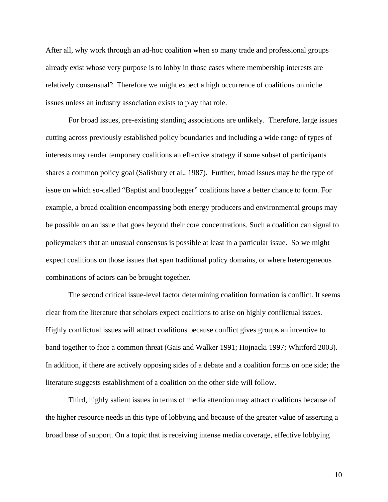After all, why work through an ad-hoc coalition when so many trade and professional groups already exist whose very purpose is to lobby in those cases where membership interests are relatively consensual? Therefore we might expect a high occurrence of coalitions on niche issues unless an industry association exists to play that role.

For broad issues, pre-existing standing associations are unlikely. Therefore, large issues cutting across previously established policy boundaries and including a wide range of types of interests may render temporary coalitions an effective strategy if some subset of participants shares a common policy goal (Salisbury et al., 1987). Further, broad issues may be the type of issue on which so-called "Baptist and bootlegger" coalitions have a better chance to form. For example, a broad coalition encompassing both energy producers and environmental groups may be possible on an issue that goes beyond their core concentrations. Such a coalition can signal to policymakers that an unusual consensus is possible at least in a particular issue. So we might expect coalitions on those issues that span traditional policy domains, or where heterogeneous combinations of actors can be brought together.

The second critical issue-level factor determining coalition formation is conflict. It seems clear from the literature that scholars expect coalitions to arise on highly conflictual issues. Highly conflictual issues will attract coalitions because conflict gives groups an incentive to band together to face a common threat (Gais and Walker 1991; Hojnacki 1997; Whitford 2003). In addition, if there are actively opposing sides of a debate and a coalition forms on one side; the literature suggests establishment of a coalition on the other side will follow.

Third, highly salient issues in terms of media attention may attract coalitions because of the higher resource needs in this type of lobbying and because of the greater value of asserting a broad base of support. On a topic that is receiving intense media coverage, effective lobbying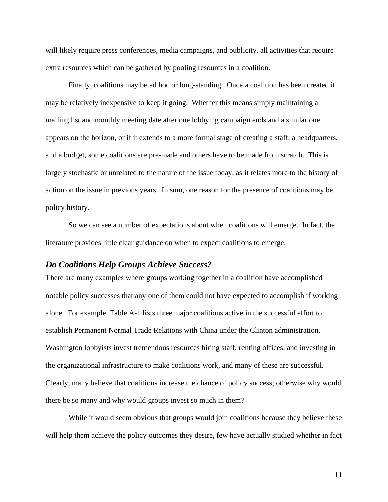will likely require press conferences, media campaigns, and publicity, all activities that require extra resources which can be gathered by pooling resources in a coalition.

Finally, coalitions may be ad hoc or long-standing. Once a coalition has been created it may be relatively inexpensive to keep it going. Whether this means simply maintaining a mailing list and monthly meeting date after one lobbying campaign ends and a similar one appears on the horizon, or if it extends to a more formal stage of creating a staff, a headquarters, and a budget, some coalitions are pre-made and others have to be made from scratch. This is largely stochastic or unrelated to the nature of the issue today, as it relates more to the history of action on the issue in previous years. In sum, one reason for the presence of coalitions may be policy history.

So we can see a number of expectations about when coalitions will emerge. In fact, the literature provides little clear guidance on when to expect coalitions to emerge.

#### *Do Coalitions Help Groups Achieve Success?*

There are many examples where groups working together in a coalition have accomplished notable policy successes that any one of them could not have expected to accomplish if working alone. For example, Table A-1 lists three major coalitions active in the successful effort to establish Permanent Normal Trade Relations with China under the Clinton administration. Washington lobbyists invest tremendous resources hiring staff, renting offices, and investing in the organizational infrastructure to make coalitions work, and many of these are successful. Clearly, many believe that coalitions increase the chance of policy success; otherwise why would there be so many and why would groups invest so much in them?

While it would seem obvious that groups would join coalitions because they believe these will help them achieve the policy outcomes they desire, few have actually studied whether in fact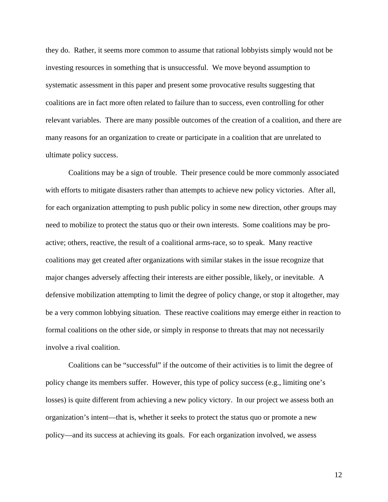they do. Rather, it seems more common to assume that rational lobbyists simply would not be investing resources in something that is unsuccessful. We move beyond assumption to systematic assessment in this paper and present some provocative results suggesting that coalitions are in fact more often related to failure than to success, even controlling for other relevant variables. There are many possible outcomes of the creation of a coalition, and there are many reasons for an organization to create or participate in a coalition that are unrelated to ultimate policy success.

Coalitions may be a sign of trouble. Their presence could be more commonly associated with efforts to mitigate disasters rather than attempts to achieve new policy victories. After all, for each organization attempting to push public policy in some new direction, other groups may need to mobilize to protect the status quo or their own interests. Some coalitions may be proactive; others, reactive, the result of a coalitional arms-race, so to speak. Many reactive coalitions may get created after organizations with similar stakes in the issue recognize that major changes adversely affecting their interests are either possible, likely, or inevitable. A defensive mobilization attempting to limit the degree of policy change, or stop it altogether, may be a very common lobbying situation. These reactive coalitions may emerge either in reaction to formal coalitions on the other side, or simply in response to threats that may not necessarily involve a rival coalition.

Coalitions can be "successful" if the outcome of their activities is to limit the degree of policy change its members suffer. However, this type of policy success (e.g., limiting one's losses) is quite different from achieving a new policy victory. In our project we assess both an organization's intent—that is, whether it seeks to protect the status quo or promote a new policy—and its success at achieving its goals. For each organization involved, we assess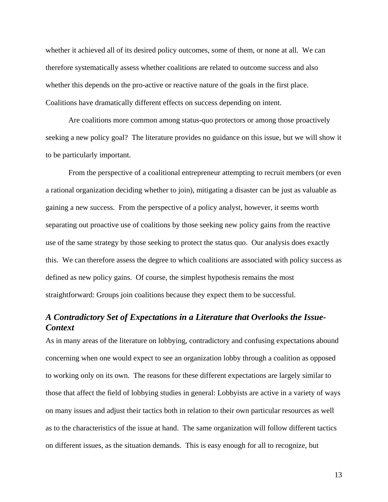whether it achieved all of its desired policy outcomes, some of them, or none at all. We can therefore systematically assess whether coalitions are related to outcome success and also whether this depends on the pro-active or reactive nature of the goals in the first place. Coalitions have dramatically different effects on success depending on intent.

Are coalitions more common among status-quo protectors or among those proactively seeking a new policy goal? The literature provides no guidance on this issue, but we will show it to be particularly important.

From the perspective of a coalitional entrepreneur attempting to recruit members (or even a rational organization deciding whether to join), mitigating a disaster can be just as valuable as gaining a new success. From the perspective of a policy analyst, however, it seems worth separating out proactive use of coalitions by those seeking new policy gains from the reactive use of the same strategy by those seeking to protect the status quo. Our analysis does exactly this. We can therefore assess the degree to which coalitions are associated with policy success as defined as new policy gains. Of course, the simplest hypothesis remains the most straightforward: Groups join coalitions because they expect them to be successful.

# *A Contradictory Set of Expectations in a Literature that Overlooks the Issue-Context*

As in many areas of the literature on lobbying, contradictory and confusing expectations abound concerning when one would expect to see an organization lobby through a coalition as opposed to working only on its own. The reasons for these different expectations are largely similar to those that affect the field of lobbying studies in general: Lobbyists are active in a variety of ways on many issues and adjust their tactics both in relation to their own particular resources as well as to the characteristics of the issue at hand. The same organization will follow different tactics on different issues, as the situation demands. This is easy enough for all to recognize, but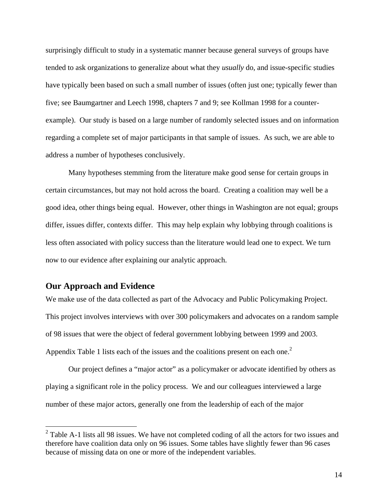surprisingly difficult to study in a systematic manner because general surveys of groups have tended to ask organizations to generalize about what they *usually* do, and issue-specific studies have typically been based on such a small number of issues (often just one; typically fewer than five; see Baumgartner and Leech 1998, chapters 7 and 9; see Kollman 1998 for a counterexample). Our study is based on a large number of randomly selected issues and on information regarding a complete set of major participants in that sample of issues. As such, we are able to address a number of hypotheses conclusively.

Many hypotheses stemming from the literature make good sense for certain groups in certain circumstances, but may not hold across the board. Creating a coalition may well be a good idea, other things being equal. However, other things in Washington are not equal; groups differ, issues differ, contexts differ. This may help explain why lobbying through coalitions is less often associated with policy success than the literature would lead one to expect. We turn now to our evidence after explaining our analytic approach.

## **Our Approach and Evidence**

 $\overline{a}$ 

We make use of the data collected as part of the Advocacy and Public Policymaking Project. This project involves interviews with over 300 policymakers and advocates on a random sample of 98 issues that were the object of federal government lobbying between 1999 and 2003. Appendix Table 1 lists each of the issues and the coalitions present on each one.<sup>2</sup>

Our project defines a "major actor" as a policymaker or advocate identified by others as playing a significant role in the policy process. We and our colleagues interviewed a large number of these major actors, generally one from the leadership of each of the major

 $2^2$  Table A-1 lists all 98 issues. We have not completed coding of all the actors for two issues and therefore have coalition data only on 96 issues. Some tables have slightly fewer than 96 cases because of missing data on one or more of the independent variables.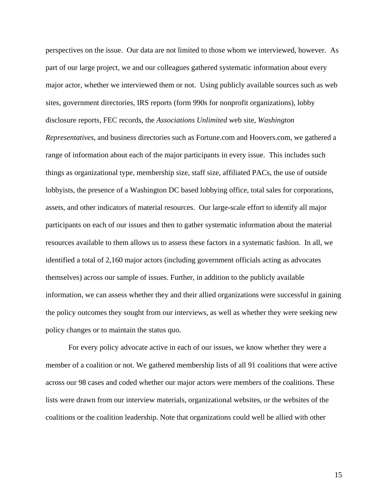perspectives on the issue. Our data are not limited to those whom we interviewed, however. As part of our large project, we and our colleagues gathered systematic information about every major actor, whether we interviewed them or not. Using publicly available sources such as web sites, government directories, IRS reports (form 990s for nonprofit organizations), lobby disclosure reports, FEC records, the *Associations Unlimited* web site, *Washington Representatives*, and business directories such as Fortune.com and Hoovers.com, we gathered a range of information about each of the major participants in every issue. This includes such things as organizational type, membership size, staff size, affiliated PACs, the use of outside lobbyists, the presence of a Washington DC based lobbying office, total sales for corporations, assets, and other indicators of material resources. Our large-scale effort to identify all major participants on each of our issues and then to gather systematic information about the material resources available to them allows us to assess these factors in a systematic fashion. In all, we identified a total of 2,160 major actors (including government officials acting as advocates themselves) across our sample of issues. Further, in addition to the publicly available information, we can assess whether they and their allied organizations were successful in gaining the policy outcomes they sought from our interviews, as well as whether they were seeking new policy changes or to maintain the status quo.

For every policy advocate active in each of our issues, we know whether they were a member of a coalition or not. We gathered membership lists of all 91 coalitions that were active across our 98 cases and coded whether our major actors were members of the coalitions. These lists were drawn from our interview materials, organizational websites, or the websites of the coalitions or the coalition leadership. Note that organizations could well be allied with other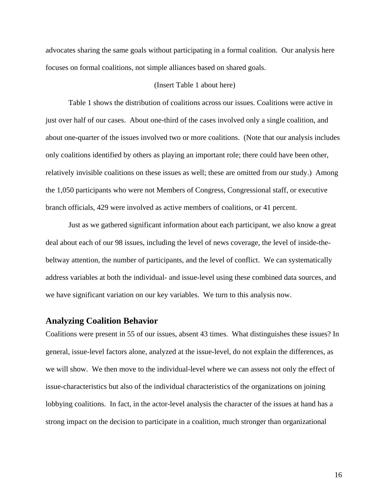advocates sharing the same goals without participating in a formal coalition. Our analysis here focuses on formal coalitions, not simple alliances based on shared goals.

#### (Insert Table 1 about here)

Table 1 shows the distribution of coalitions across our issues. Coalitions were active in just over half of our cases. About one-third of the cases involved only a single coalition, and about one-quarter of the issues involved two or more coalitions. (Note that our analysis includes only coalitions identified by others as playing an important role; there could have been other, relatively invisible coalitions on these issues as well; these are omitted from our study.) Among the 1,050 participants who were not Members of Congress, Congressional staff, or executive branch officials, 429 were involved as active members of coalitions, or 41 percent.

Just as we gathered significant information about each participant, we also know a great deal about each of our 98 issues, including the level of news coverage, the level of inside-thebeltway attention, the number of participants, and the level of conflict. We can systematically address variables at both the individual- and issue-level using these combined data sources, and we have significant variation on our key variables. We turn to this analysis now.

# **Analyzing Coalition Behavior**

Coalitions were present in 55 of our issues, absent 43 times. What distinguishes these issues? In general, issue-level factors alone, analyzed at the issue-level, do not explain the differences, as we will show. We then move to the individual-level where we can assess not only the effect of issue-characteristics but also of the individual characteristics of the organizations on joining lobbying coalitions. In fact, in the actor-level analysis the character of the issues at hand has a strong impact on the decision to participate in a coalition, much stronger than organizational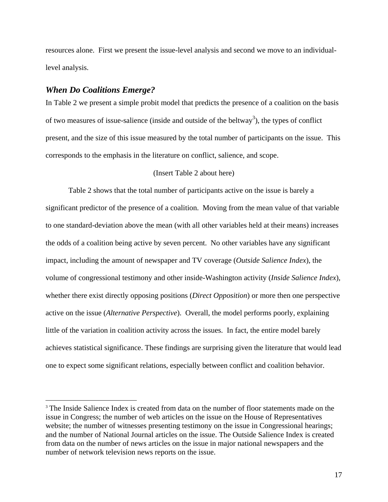resources alone. First we present the issue-level analysis and second we move to an individuallevel analysis.

#### *When Do Coalitions Emerge?*

 $\overline{a}$ 

In Table 2 we present a simple probit model that predicts the presence of a coalition on the basis of two measures of issue-salience (inside and outside of the beltway<sup>3</sup>), the types of conflict present, and the size of this issue measured by the total number of participants on the issue. This corresponds to the emphasis in the literature on conflict, salience, and scope.

#### (Insert Table 2 about here)

Table 2 shows that the total number of participants active on the issue is barely a significant predictor of the presence of a coalition. Moving from the mean value of that variable to one standard-deviation above the mean (with all other variables held at their means) increases the odds of a coalition being active by seven percent. No other variables have any significant impact, including the amount of newspaper and TV coverage (*Outside Salience Index*), the volume of congressional testimony and other inside-Washington activity (*Inside Salience Index*), whether there exist directly opposing positions (*Direct Opposition*) or more then one perspective active on the issue (*Alternative Perspective*). Overall, the model performs poorly, explaining little of the variation in coalition activity across the issues. In fact, the entire model barely achieves statistical significance. These findings are surprising given the literature that would lead one to expect some significant relations, especially between conflict and coalition behavior.

<sup>&</sup>lt;sup>3</sup> The Inside Salience Index is created from data on the number of floor statements made on the issue in Congress; the number of web articles on the issue on the House of Representatives website; the number of witnesses presenting testimony on the issue in Congressional hearings; and the number of National Journal articles on the issue. The Outside Salience Index is created from data on the number of news articles on the issue in major national newspapers and the number of network television news reports on the issue.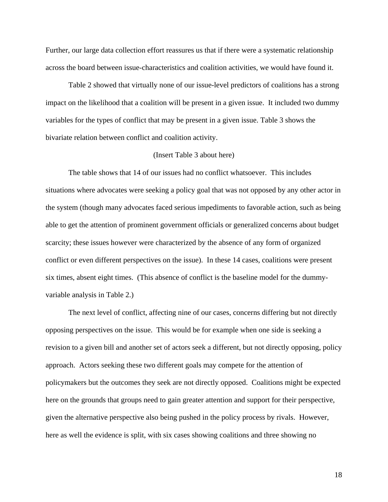Further, our large data collection effort reassures us that if there were a systematic relationship across the board between issue-characteristics and coalition activities, we would have found it.

Table 2 showed that virtually none of our issue-level predictors of coalitions has a strong impact on the likelihood that a coalition will be present in a given issue. It included two dummy variables for the types of conflict that may be present in a given issue. Table 3 shows the bivariate relation between conflict and coalition activity.

#### (Insert Table 3 about here)

The table shows that 14 of our issues had no conflict whatsoever. This includes situations where advocates were seeking a policy goal that was not opposed by any other actor in the system (though many advocates faced serious impediments to favorable action, such as being able to get the attention of prominent government officials or generalized concerns about budget scarcity; these issues however were characterized by the absence of any form of organized conflict or even different perspectives on the issue). In these 14 cases, coalitions were present six times, absent eight times. (This absence of conflict is the baseline model for the dummyvariable analysis in Table 2.)

The next level of conflict, affecting nine of our cases, concerns differing but not directly opposing perspectives on the issue. This would be for example when one side is seeking a revision to a given bill and another set of actors seek a different, but not directly opposing, policy approach. Actors seeking these two different goals may compete for the attention of policymakers but the outcomes they seek are not directly opposed. Coalitions might be expected here on the grounds that groups need to gain greater attention and support for their perspective, given the alternative perspective also being pushed in the policy process by rivals. However, here as well the evidence is split, with six cases showing coalitions and three showing no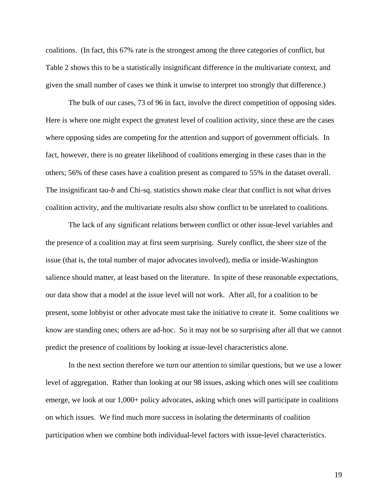coalitions. (In fact, this 67% rate is the strongest among the three categories of conflict, but Table 2 shows this to be a statistically insignificant difference in the multivariate context, and given the small number of cases we think it unwise to interpret too strongly that difference.)

The bulk of our cases, 73 of 96 in fact, involve the direct competition of opposing sides. Here is where one might expect the greatest level of coalition activity, since these are the cases where opposing sides are competing for the attention and support of government officials. In fact, however, there is no greater likelihood of coalitions emerging in these cases than in the others; 56% of these cases have a coalition present as compared to 55% in the dataset overall. The insignificant tau-*b* and Chi-sq. statistics shown make clear that conflict is not what drives coalition activity, and the multivariate results also show conflict to be unrelated to coalitions.

The lack of any significant relations between conflict or other issue-level variables and the presence of a coalition may at first seem surprising. Surely conflict, the sheer size of the issue (that is, the total number of major advocates involved), media or inside-Washington salience should matter, at least based on the literature. In spite of these reasonable expectations, our data show that a model at the issue level will not work. After all, for a coalition to be present, some lobbyist or other advocate must take the initiative to create it. Some coalitions we know are standing ones; others are ad-hoc. So it may not be so surprising after all that we cannot predict the presence of coalitions by looking at issue-level characteristics alone.

In the next section therefore we turn our attention to similar questions, but we use a lower level of aggregation. Rather than looking at our 98 issues, asking which ones will see coalitions emerge, we look at our 1,000+ policy advocates, asking which ones will participate in coalitions on which issues. We find much more success in isolating the determinants of coalition participation when we combine both individual-level factors with issue-level characteristics.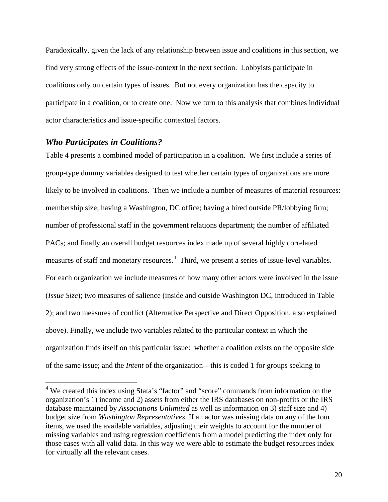Paradoxically, given the lack of any relationship between issue and coalitions in this section, we find very strong effects of the issue-context in the next section. Lobbyists participate in coalitions only on certain types of issues. But not every organization has the capacity to participate in a coalition, or to create one. Now we turn to this analysis that combines individual actor characteristics and issue-specific contextual factors.

#### *Who Participates in Coalitions?*

Table 4 presents a combined model of participation in a coalition. We first include a series of group-type dummy variables designed to test whether certain types of organizations are more likely to be involved in coalitions. Then we include a number of measures of material resources: membership size; having a Washington, DC office; having a hired outside PR/lobbying firm; number of professional staff in the government relations department; the number of affiliated PACs; and finally an overall budget resources index made up of several highly correlated measures of staff and monetary resources.<sup>4</sup> Third, we present a series of issue-level variables. For each organization we include measures of how many other actors were involved in the issue (*Issue Size*); two measures of salience (inside and outside Washington DC, introduced in Table 2); and two measures of conflict (Alternative Perspective and Direct Opposition, also explained above). Finally, we include two variables related to the particular context in which the organization finds itself on this particular issue: whether a coalition exists on the opposite side of the same issue; and the *Intent* of the organization—this is coded 1 for groups seeking to

 4 We created this index using Stata's "factor" and "score" commands from information on the organization's 1) income and 2) assets from either the IRS databases on non-profits or the IRS database maintained by *Associations Unlimited* as well as information on 3) staff size and 4) budget size from *Washington Representatives*. If an actor was missing data on any of the four items, we used the available variables, adjusting their weights to account for the number of missing variables and using regression coefficients from a model predicting the index only for those cases with all valid data. In this way we were able to estimate the budget resources index for virtually all the relevant cases.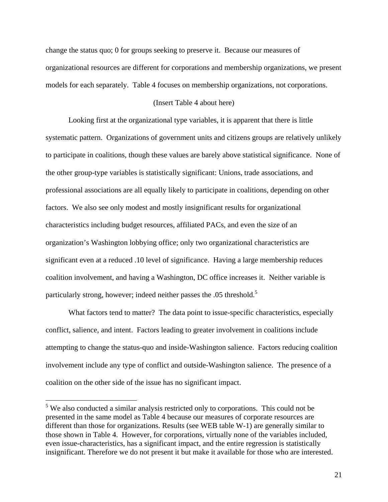change the status quo; 0 for groups seeking to preserve it. Because our measures of organizational resources are different for corporations and membership organizations, we present models for each separately. Table 4 focuses on membership organizations, not corporations.

#### (Insert Table 4 about here)

Looking first at the organizational type variables, it is apparent that there is little systematic pattern. Organizations of government units and citizens groups are relatively unlikely to participate in coalitions, though these values are barely above statistical significance. None of the other group-type variables is statistically significant: Unions, trade associations, and professional associations are all equally likely to participate in coalitions, depending on other factors. We also see only modest and mostly insignificant results for organizational characteristics including budget resources, affiliated PACs, and even the size of an organization's Washington lobbying office; only two organizational characteristics are significant even at a reduced .10 level of significance. Having a large membership reduces coalition involvement, and having a Washington, DC office increases it. Neither variable is particularly strong, however; indeed neither passes the .05 threshold.<sup>5</sup>

What factors tend to matter? The data point to issue-specific characteristics, especially conflict, salience, and intent. Factors leading to greater involvement in coalitions include attempting to change the status-quo and inside-Washington salience. Factors reducing coalition involvement include any type of conflict and outside-Washington salience. The presence of a coalition on the other side of the issue has no significant impact.

 $<sup>5</sup>$  We also conducted a similar analysis restricted only to corporations. This could not be</sup> presented in the same model as Table 4 because our measures of corporate resources are different than those for organizations. Results (see WEB table W-1) are generally similar to those shown in Table 4. However, for corporations, virtually none of the variables included, even issue-characteristics, has a significant impact, and the entire regression is statistically insignificant. Therefore we do not present it but make it available for those who are interested.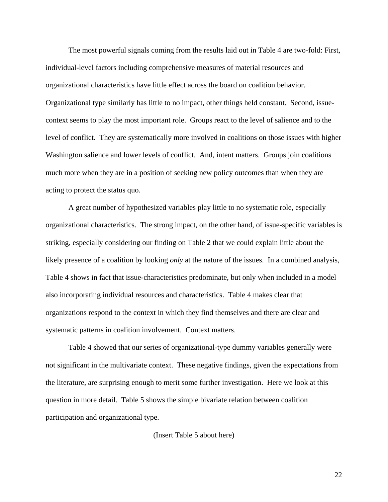The most powerful signals coming from the results laid out in Table 4 are two-fold: First, individual-level factors including comprehensive measures of material resources and organizational characteristics have little effect across the board on coalition behavior. Organizational type similarly has little to no impact, other things held constant. Second, issuecontext seems to play the most important role. Groups react to the level of salience and to the level of conflict. They are systematically more involved in coalitions on those issues with higher Washington salience and lower levels of conflict. And, intent matters. Groups join coalitions much more when they are in a position of seeking new policy outcomes than when they are acting to protect the status quo.

A great number of hypothesized variables play little to no systematic role, especially organizational characteristics. The strong impact, on the other hand, of issue-specific variables is striking, especially considering our finding on Table 2 that we could explain little about the likely presence of a coalition by looking *only* at the nature of the issues. In a combined analysis, Table 4 shows in fact that issue-characteristics predominate, but only when included in a model also incorporating individual resources and characteristics. Table 4 makes clear that organizations respond to the context in which they find themselves and there are clear and systematic patterns in coalition involvement. Context matters.

Table 4 showed that our series of organizational-type dummy variables generally were not significant in the multivariate context. These negative findings, given the expectations from the literature, are surprising enough to merit some further investigation. Here we look at this question in more detail. Table 5 shows the simple bivariate relation between coalition participation and organizational type.

(Insert Table 5 about here)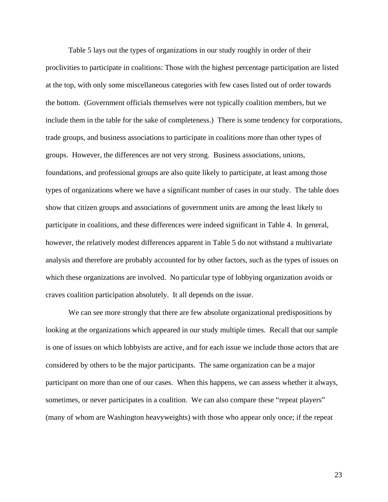Table 5 lays out the types of organizations in our study roughly in order of their proclivities to participate in coalitions: Those with the highest percentage participation are listed at the top, with only some miscellaneous categories with few cases listed out of order towards the bottom. (Government officials themselves were not typically coalition members, but we include them in the table for the sake of completeness.) There is some tendency for corporations, trade groups, and business associations to participate in coalitions more than other types of groups. However, the differences are not very strong. Business associations, unions, foundations, and professional groups are also quite likely to participate, at least among those types of organizations where we have a significant number of cases in our study. The table does show that citizen groups and associations of government units are among the least likely to participate in coalitions, and these differences were indeed significant in Table 4. In general, however, the relatively modest differences apparent in Table 5 do not withstand a multivariate analysis and therefore are probably accounted for by other factors, such as the types of issues on which these organizations are involved. No particular type of lobbying organization avoids or craves coalition participation absolutely. It all depends on the issue.

We can see more strongly that there are few absolute organizational predispositions by looking at the organizations which appeared in our study multiple times. Recall that our sample is one of issues on which lobbyists are active, and for each issue we include those actors that are considered by others to be the major participants. The same organization can be a major participant on more than one of our cases. When this happens, we can assess whether it always, sometimes, or never participates in a coalition. We can also compare these "repeat players" (many of whom are Washington heavyweights) with those who appear only once; if the repeat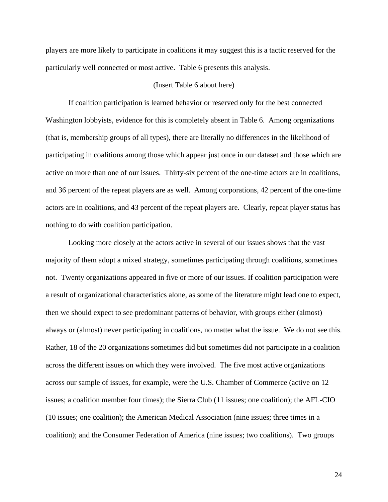players are more likely to participate in coalitions it may suggest this is a tactic reserved for the particularly well connected or most active. Table 6 presents this analysis.

#### (Insert Table 6 about here)

If coalition participation is learned behavior or reserved only for the best connected Washington lobbyists, evidence for this is completely absent in Table 6. Among organizations (that is, membership groups of all types), there are literally no differences in the likelihood of participating in coalitions among those which appear just once in our dataset and those which are active on more than one of our issues. Thirty-six percent of the one-time actors are in coalitions, and 36 percent of the repeat players are as well. Among corporations, 42 percent of the one-time actors are in coalitions, and 43 percent of the repeat players are. Clearly, repeat player status has nothing to do with coalition participation.

Looking more closely at the actors active in several of our issues shows that the vast majority of them adopt a mixed strategy, sometimes participating through coalitions, sometimes not. Twenty organizations appeared in five or more of our issues. If coalition participation were a result of organizational characteristics alone, as some of the literature might lead one to expect, then we should expect to see predominant patterns of behavior, with groups either (almost) always or (almost) never participating in coalitions, no matter what the issue. We do not see this. Rather, 18 of the 20 organizations sometimes did but sometimes did not participate in a coalition across the different issues on which they were involved. The five most active organizations across our sample of issues, for example, were the U.S. Chamber of Commerce (active on 12 issues; a coalition member four times); the Sierra Club (11 issues; one coalition); the AFL-CIO (10 issues; one coalition); the American Medical Association (nine issues; three times in a coalition); and the Consumer Federation of America (nine issues; two coalitions). Two groups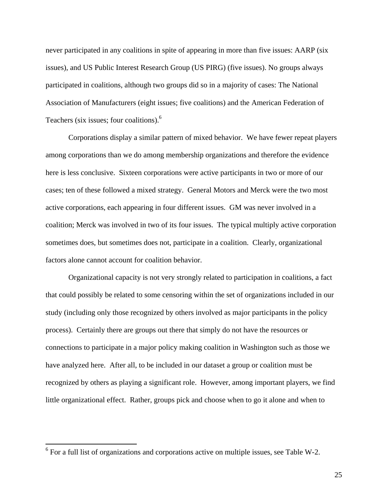never participated in any coalitions in spite of appearing in more than five issues: AARP (six issues), and US Public Interest Research Group (US PIRG) (five issues). No groups always participated in coalitions, although two groups did so in a majority of cases: The National Association of Manufacturers (eight issues; five coalitions) and the American Federation of Teachers (six issues; four coalitions).<sup>6</sup>

Corporations display a similar pattern of mixed behavior. We have fewer repeat players among corporations than we do among membership organizations and therefore the evidence here is less conclusive. Sixteen corporations were active participants in two or more of our cases; ten of these followed a mixed strategy. General Motors and Merck were the two most active corporations, each appearing in four different issues. GM was never involved in a coalition; Merck was involved in two of its four issues. The typical multiply active corporation sometimes does, but sometimes does not, participate in a coalition. Clearly, organizational factors alone cannot account for coalition behavior.

Organizational capacity is not very strongly related to participation in coalitions, a fact that could possibly be related to some censoring within the set of organizations included in our study (including only those recognized by others involved as major participants in the policy process). Certainly there are groups out there that simply do not have the resources or connections to participate in a major policy making coalition in Washington such as those we have analyzed here. After all, to be included in our dataset a group or coalition must be recognized by others as playing a significant role. However, among important players, we find little organizational effect. Rather, groups pick and choose when to go it alone and when to

<sup>&</sup>lt;sup>6</sup> For a full list of organizations and corporations active on multiple issues, see Table W-2.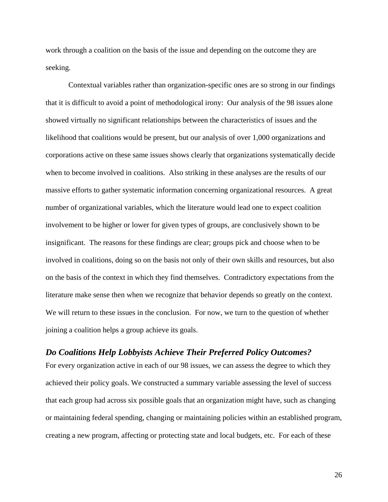work through a coalition on the basis of the issue and depending on the outcome they are seeking.

Contextual variables rather than organization-specific ones are so strong in our findings that it is difficult to avoid a point of methodological irony: Our analysis of the 98 issues alone showed virtually no significant relationships between the characteristics of issues and the likelihood that coalitions would be present, but our analysis of over 1,000 organizations and corporations active on these same issues shows clearly that organizations systematically decide when to become involved in coalitions. Also striking in these analyses are the results of our massive efforts to gather systematic information concerning organizational resources. A great number of organizational variables, which the literature would lead one to expect coalition involvement to be higher or lower for given types of groups, are conclusively shown to be insignificant. The reasons for these findings are clear; groups pick and choose when to be involved in coalitions, doing so on the basis not only of their own skills and resources, but also on the basis of the context in which they find themselves. Contradictory expectations from the literature make sense then when we recognize that behavior depends so greatly on the context. We will return to these issues in the conclusion. For now, we turn to the question of whether joining a coalition helps a group achieve its goals.

## *Do Coalitions Help Lobbyists Achieve Their Preferred Policy Outcomes?*

For every organization active in each of our 98 issues, we can assess the degree to which they achieved their policy goals. We constructed a summary variable assessing the level of success that each group had across six possible goals that an organization might have, such as changing or maintaining federal spending, changing or maintaining policies within an established program, creating a new program, affecting or protecting state and local budgets, etc. For each of these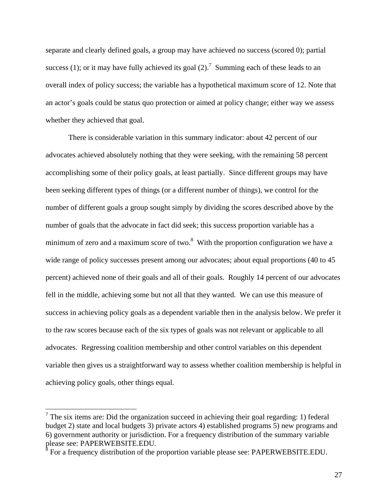separate and clearly defined goals, a group may have achieved no success (scored 0); partial success (1); or it may have fully achieved its goal (2).<sup>7</sup> Summing each of these leads to an overall index of policy success; the variable has a hypothetical maximum score of 12. Note that an actor's goals could be status quo protection or aimed at policy change; either way we assess whether they achieved that goal.

There is considerable variation in this summary indicator: about 42 percent of our advocates achieved absolutely nothing that they were seeking, with the remaining 58 percent accomplishing some of their policy goals, at least partially. Since different groups may have been seeking different types of things (or a different number of things), we control for the number of different goals a group sought simply by dividing the scores described above by the number of goals that the advocate in fact did seek; this success proportion variable has a minimum of zero and a maximum score of two. $8\,$  With the proportion configuration we have a wide range of policy successes present among our advocates; about equal proportions (40 to 45 percent) achieved none of their goals and all of their goals. Roughly 14 percent of our advocates fell in the middle, achieving some but not all that they wanted. We can use this measure of success in achieving policy goals as a dependent variable then in the analysis below. We prefer it to the raw scores because each of the six types of goals was not relevant or applicable to all advocates. Regressing coalition membership and other control variables on this dependent variable then gives us a straightforward way to assess whether coalition membership is helpful in achieving policy goals, other things equal.

 $7$  The six items are: Did the organization succeed in achieving their goal regarding: 1) federal budget 2) state and local budgets 3) private actors 4) established programs 5) new programs and 6) government authority or jurisdiction. For a frequency distribution of the summary variable please see: PAPERWEBSITE.EDU.

 $\delta$  For a frequency distribution of the proportion variable please see: PAPERWEBSITE.EDU.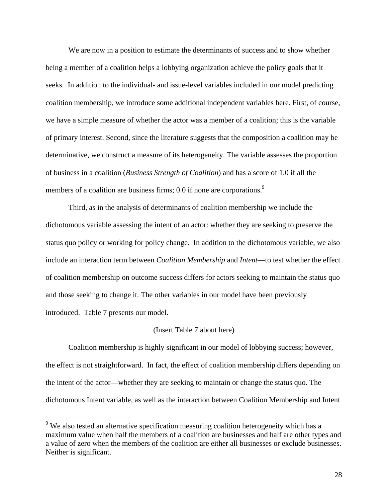We are now in a position to estimate the determinants of success and to show whether being a member of a coalition helps a lobbying organization achieve the policy goals that it seeks. In addition to the individual- and issue-level variables included in our model predicting coalition membership, we introduce some additional independent variables here. First, of course, we have a simple measure of whether the actor was a member of a coalition; this is the variable of primary interest. Second, since the literature suggests that the composition a coalition may be determinative, we construct a measure of its heterogeneity. The variable assesses the proportion of business in a coalition (*Business Strength of Coalition*) and has a score of 1.0 if all the members of a coalition are business firms; 0.0 if none are corporations.<sup>9</sup>

Third, as in the analysis of determinants of coalition membership we include the dichotomous variable assessing the intent of an actor: whether they are seeking to preserve the status quo policy or working for policy change. In addition to the dichotomous variable, we also include an interaction term between *Coalition Membership* and *Intent*—to test whether the effect of coalition membership on outcome success differs for actors seeking to maintain the status quo and those seeking to change it. The other variables in our model have been previously introduced. Table 7 presents our model.

#### (Insert Table 7 about here)

Coalition membership is highly significant in our model of lobbying success; however, the effect is not straightforward. In fact, the effect of coalition membership differs depending on the intent of the actor—whether they are seeking to maintain or change the status quo. The dichotomous Intent variable, as well as the interaction between Coalition Membership and Intent

 $9$  We also tested an alternative specification measuring coalition heterogeneity which has a maximum value when half the members of a coalition are businesses and half are other types and a value of zero when the members of the coalition are either all businesses or exclude businesses. Neither is significant.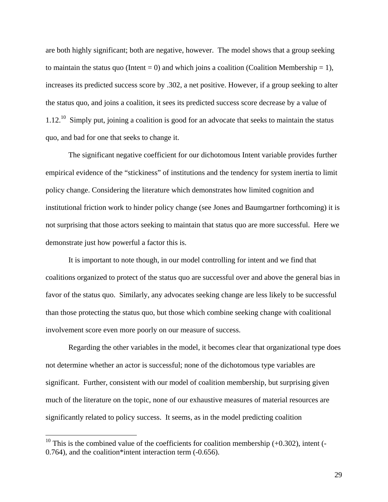are both highly significant; both are negative, however. The model shows that a group seeking to maintain the status quo (Intent  $= 0$ ) and which joins a coalition (Coalition Membership  $= 1$ ), increases its predicted success score by .302, a net positive. However, if a group seeking to alter the status quo, and joins a coalition, it sees its predicted success score decrease by a value of  $1.12<sup>10</sup>$  Simply put, joining a coalition is good for an advocate that seeks to maintain the status quo, and bad for one that seeks to change it.

The significant negative coefficient for our dichotomous Intent variable provides further empirical evidence of the "stickiness" of institutions and the tendency for system inertia to limit policy change. Considering the literature which demonstrates how limited cognition and institutional friction work to hinder policy change (see Jones and Baumgartner forthcoming) it is not surprising that those actors seeking to maintain that status quo are more successful. Here we demonstrate just how powerful a factor this is.

It is important to note though, in our model controlling for intent and we find that coalitions organized to protect of the status quo are successful over and above the general bias in favor of the status quo. Similarly, any advocates seeking change are less likely to be successful than those protecting the status quo, but those which combine seeking change with coalitional involvement score even more poorly on our measure of success.

Regarding the other variables in the model, it becomes clear that organizational type does not determine whether an actor is successful; none of the dichotomous type variables are significant. Further, consistent with our model of coalition membership, but surprising given much of the literature on the topic, none of our exhaustive measures of material resources are significantly related to policy success. It seems, as in the model predicting coalition

<sup>&</sup>lt;sup>10</sup> This is the combined value of the coefficients for coalition membership  $(+0.302)$ , intent  $(-$ 0.764), and the coalition\*intent interaction term (-0.656).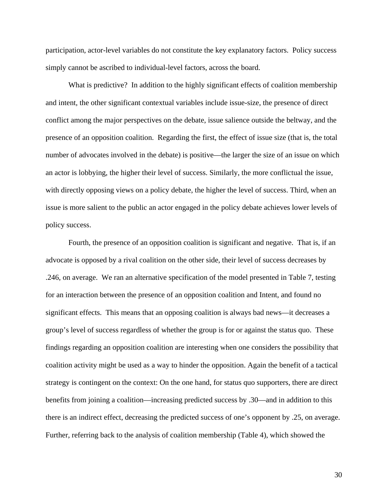participation, actor-level variables do not constitute the key explanatory factors. Policy success simply cannot be ascribed to individual-level factors, across the board.

What is predictive? In addition to the highly significant effects of coalition membership and intent, the other significant contextual variables include issue-size, the presence of direct conflict among the major perspectives on the debate, issue salience outside the beltway, and the presence of an opposition coalition. Regarding the first, the effect of issue size (that is, the total number of advocates involved in the debate) is positive—the larger the size of an issue on which an actor is lobbying, the higher their level of success. Similarly, the more conflictual the issue, with directly opposing views on a policy debate, the higher the level of success. Third, when an issue is more salient to the public an actor engaged in the policy debate achieves lower levels of policy success.

Fourth, the presence of an opposition coalition is significant and negative. That is, if an advocate is opposed by a rival coalition on the other side, their level of success decreases by .246, on average. We ran an alternative specification of the model presented in Table 7, testing for an interaction between the presence of an opposition coalition and Intent, and found no significant effects. This means that an opposing coalition is always bad news—it decreases a group's level of success regardless of whether the group is for or against the status quo. These findings regarding an opposition coalition are interesting when one considers the possibility that coalition activity might be used as a way to hinder the opposition. Again the benefit of a tactical strategy is contingent on the context: On the one hand, for status quo supporters, there are direct benefits from joining a coalition—increasing predicted success by .30—and in addition to this there is an indirect effect, decreasing the predicted success of one's opponent by .25, on average. Further, referring back to the analysis of coalition membership (Table 4), which showed the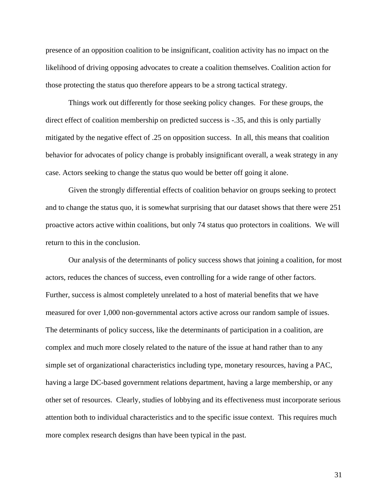presence of an opposition coalition to be insignificant, coalition activity has no impact on the likelihood of driving opposing advocates to create a coalition themselves. Coalition action for those protecting the status quo therefore appears to be a strong tactical strategy.

Things work out differently for those seeking policy changes. For these groups, the direct effect of coalition membership on predicted success is -.35, and this is only partially mitigated by the negative effect of .25 on opposition success. In all, this means that coalition behavior for advocates of policy change is probably insignificant overall, a weak strategy in any case. Actors seeking to change the status quo would be better off going it alone.

Given the strongly differential effects of coalition behavior on groups seeking to protect and to change the status quo, it is somewhat surprising that our dataset shows that there were 251 proactive actors active within coalitions, but only 74 status quo protectors in coalitions. We will return to this in the conclusion.

Our analysis of the determinants of policy success shows that joining a coalition, for most actors, reduces the chances of success, even controlling for a wide range of other factors. Further, success is almost completely unrelated to a host of material benefits that we have measured for over 1,000 non-governmental actors active across our random sample of issues. The determinants of policy success, like the determinants of participation in a coalition, are complex and much more closely related to the nature of the issue at hand rather than to any simple set of organizational characteristics including type, monetary resources, having a PAC, having a large DC-based government relations department, having a large membership, or any other set of resources. Clearly, studies of lobbying and its effectiveness must incorporate serious attention both to individual characteristics and to the specific issue context. This requires much more complex research designs than have been typical in the past.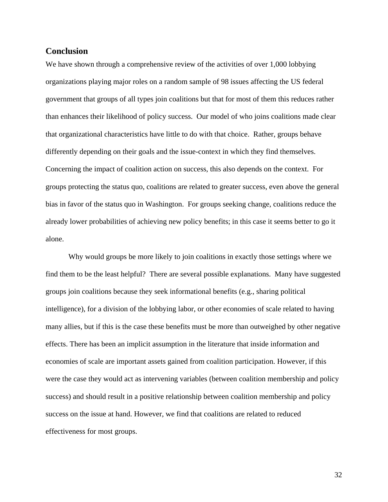## **Conclusion**

We have shown through a comprehensive review of the activities of over 1,000 lobbying organizations playing major roles on a random sample of 98 issues affecting the US federal government that groups of all types join coalitions but that for most of them this reduces rather than enhances their likelihood of policy success. Our model of who joins coalitions made clear that organizational characteristics have little to do with that choice. Rather, groups behave differently depending on their goals and the issue-context in which they find themselves. Concerning the impact of coalition action on success, this also depends on the context. For groups protecting the status quo, coalitions are related to greater success, even above the general bias in favor of the status quo in Washington. For groups seeking change, coalitions reduce the already lower probabilities of achieving new policy benefits; in this case it seems better to go it alone.

Why would groups be more likely to join coalitions in exactly those settings where we find them to be the least helpful? There are several possible explanations. Many have suggested groups join coalitions because they seek informational benefits (e.g., sharing political intelligence), for a division of the lobbying labor, or other economies of scale related to having many allies, but if this is the case these benefits must be more than outweighed by other negative effects. There has been an implicit assumption in the literature that inside information and economies of scale are important assets gained from coalition participation. However, if this were the case they would act as intervening variables (between coalition membership and policy success) and should result in a positive relationship between coalition membership and policy success on the issue at hand. However, we find that coalitions are related to reduced effectiveness for most groups.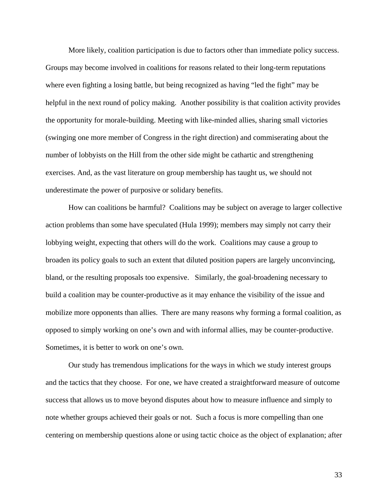More likely, coalition participation is due to factors other than immediate policy success. Groups may become involved in coalitions for reasons related to their long-term reputations where even fighting a losing battle, but being recognized as having "led the fight" may be helpful in the next round of policy making. Another possibility is that coalition activity provides the opportunity for morale-building. Meeting with like-minded allies, sharing small victories (swinging one more member of Congress in the right direction) and commiserating about the number of lobbyists on the Hill from the other side might be cathartic and strengthening exercises. And, as the vast literature on group membership has taught us, we should not underestimate the power of purposive or solidary benefits.

How can coalitions be harmful? Coalitions may be subject on average to larger collective action problems than some have speculated (Hula 1999); members may simply not carry their lobbying weight, expecting that others will do the work. Coalitions may cause a group to broaden its policy goals to such an extent that diluted position papers are largely unconvincing, bland, or the resulting proposals too expensive. Similarly, the goal-broadening necessary to build a coalition may be counter-productive as it may enhance the visibility of the issue and mobilize more opponents than allies. There are many reasons why forming a formal coalition, as opposed to simply working on one's own and with informal allies, may be counter-productive. Sometimes, it is better to work on one's own.

Our study has tremendous implications for the ways in which we study interest groups and the tactics that they choose. For one, we have created a straightforward measure of outcome success that allows us to move beyond disputes about how to measure influence and simply to note whether groups achieved their goals or not. Such a focus is more compelling than one centering on membership questions alone or using tactic choice as the object of explanation; after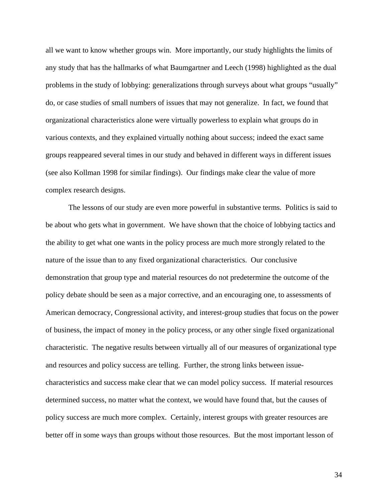all we want to know whether groups win. More importantly, our study highlights the limits of any study that has the hallmarks of what Baumgartner and Leech (1998) highlighted as the dual problems in the study of lobbying: generalizations through surveys about what groups "usually" do, or case studies of small numbers of issues that may not generalize. In fact, we found that organizational characteristics alone were virtually powerless to explain what groups do in various contexts, and they explained virtually nothing about success; indeed the exact same groups reappeared several times in our study and behaved in different ways in different issues (see also Kollman 1998 for similar findings). Our findings make clear the value of more complex research designs.

The lessons of our study are even more powerful in substantive terms. Politics is said to be about who gets what in government. We have shown that the choice of lobbying tactics and the ability to get what one wants in the policy process are much more strongly related to the nature of the issue than to any fixed organizational characteristics. Our conclusive demonstration that group type and material resources do not predetermine the outcome of the policy debate should be seen as a major corrective, and an encouraging one, to assessments of American democracy, Congressional activity, and interest-group studies that focus on the power of business, the impact of money in the policy process, or any other single fixed organizational characteristic. The negative results between virtually all of our measures of organizational type and resources and policy success are telling. Further, the strong links between issuecharacteristics and success make clear that we can model policy success. If material resources determined success, no matter what the context, we would have found that, but the causes of policy success are much more complex. Certainly, interest groups with greater resources are better off in some ways than groups without those resources. But the most important lesson of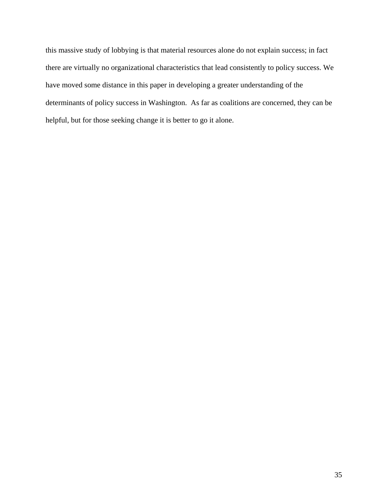this massive study of lobbying is that material resources alone do not explain success; in fact there are virtually no organizational characteristics that lead consistently to policy success. We have moved some distance in this paper in developing a greater understanding of the determinants of policy success in Washington. As far as coalitions are concerned, they can be helpful, but for those seeking change it is better to go it alone.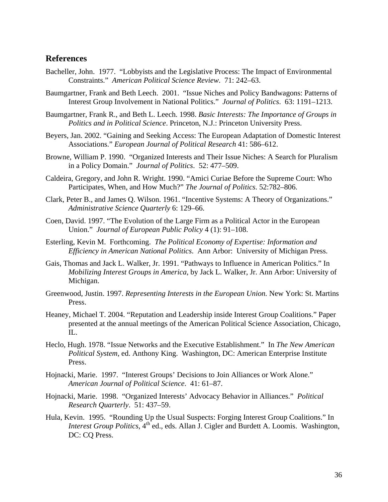## **References**

- Bacheller, John. 1977. "Lobbyists and the Legislative Process: The Impact of Environmental Constraints." *American Political Science Review*. 71: 242–63.
- Baumgartner, Frank and Beth Leech. 2001. "Issue Niches and Policy Bandwagons: Patterns of Interest Group Involvement in National Politics." *Journal of Politics*. 63: 1191–1213.
- Baumgartner, Frank R., and Beth L. Leech. 1998. *Basic Interests: The Importance of Groups in Politics and in Political Science*. Princeton, N.J.: Princeton University Press.
- Beyers, Jan. 2002. "Gaining and Seeking Access: The European Adaptation of Domestic Interest Associations." *European Journal of Political Research* 41: 586–612.
- Browne, William P. 1990. "Organized Interests and Their Issue Niches: A Search for Pluralism in a Policy Domain." *Journal of Politics*. 52: 477–509.
- Caldeira, Gregory, and John R. Wright. 1990. "Amici Curiae Before the Supreme Court: Who Participates, When, and How Much?" *The Journal of Politics*. 52:782–806.
- Clark, Peter B., and James Q. Wilson. 1961. "Incentive Systems: A Theory of Organizations." *Administrative Science Quarterly* 6: 129–66.
- Coen, David. 1997. "The Evolution of the Large Firm as a Political Actor in the European Union." *Journal of European Public Policy* 4 (1): 91–108.
- Esterling, Kevin M. Forthcoming. *The Political Economy of Expertise: Information and Efficiency in American National Politics*. Ann Arbor: University of Michigan Press.
- Gais, Thomas and Jack L. Walker, Jr. 1991. "Pathways to Influence in American Politics." In *Mobilizing Interest Groups in America*, by Jack L. Walker, Jr. Ann Arbor: University of Michigan.
- Greenwood, Justin. 1997. *Representing Interests in the European Union.* New York: St. Martins Press.
- Heaney, Michael T. 2004. "Reputation and Leadership inside Interest Group Coalitions." Paper presented at the annual meetings of the American Political Science Association, Chicago, IL.
- Heclo, Hugh. 1978. "Issue Networks and the Executive Establishment." In *The New American Political System*, ed. Anthony King. Washington, DC: American Enterprise Institute Press.
- Hojnacki, Marie. 1997. "Interest Groups' Decisions to Join Alliances or Work Alone." *American Journal of Political Science*. 41: 61–87.
- Hojnacki, Marie. 1998. "Organized Interests' Advocacy Behavior in Alliances." *Political Research Quarterly*. 51: 437–59.
- Hula, Kevin. 1995. "Rounding Up the Usual Suspects: Forging Interest Group Coalitions." In *Interest Group Politics*, 4<sup>th</sup> ed., eds. Allan J. Cigler and Burdett A. Loomis. Washington, DC: CQ Press.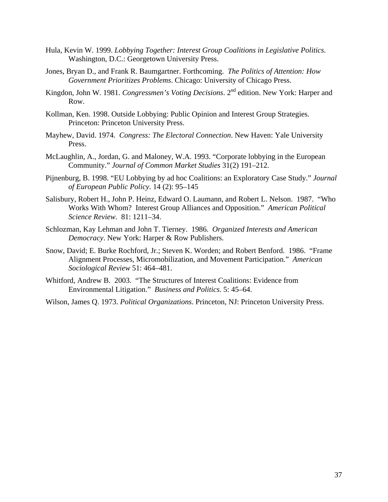- Hula, Kevin W. 1999. *Lobbying Together: Interest Group Coalitions in Legislative Politics*. Washington, D.C.: Georgetown University Press.
- Jones, Bryan D., and Frank R. Baumgartner. Forthcoming. *The Politics of Attention: How Government Prioritizes Problems*. Chicago: University of Chicago Press.
- Kingdon, John W. 1981. *Congressmen's Voting Decisions*. 2<sup>nd</sup> edition. New York: Harper and Row.
- Kollman, Ken. 1998. Outside Lobbying: Public Opinion and Interest Group Strategies. Princeton: Princeton University Press.
- Mayhew, David. 1974. *Congress: The Electoral Connection*. New Haven: Yale University Press.
- McLaughlin, A., Jordan, G. and Maloney, W.A. 1993. "Corporate lobbying in the European Community." *Journal of Common Market Studies* 31(2) 191–212.
- Pijnenburg, B. 1998. "EU Lobbying by ad hoc Coalitions: an Exploratory Case Study." *Journal of European Public Policy*. 14 (2): 95–145
- Salisbury, Robert H., John P. Heinz, Edward O. Laumann, and Robert L. Nelson. 1987. "Who Works With Whom? Interest Group Alliances and Opposition." *American Political Science Review*. 81: 1211–34.
- Schlozman, Kay Lehman and John T. Tierney. 1986. *Organized Interests and American Democracy*. New York: Harper & Row Publishers.
- Snow, David; E. Burke Rochford, Jr.; Steven K. Worden; and Robert Benford. 1986. "Frame Alignment Processes, Micromobilization, and Movement Participation." *American Sociological Review* 51: 464–481.
- Whitford, Andrew B. 2003. "The Structures of Interest Coalitions: Evidence from Environmental Litigation." *Business and Politics*. 5: 45–64.
- Wilson, James Q. 1973. *Political Organizations*. Princeton, NJ: Princeton University Press.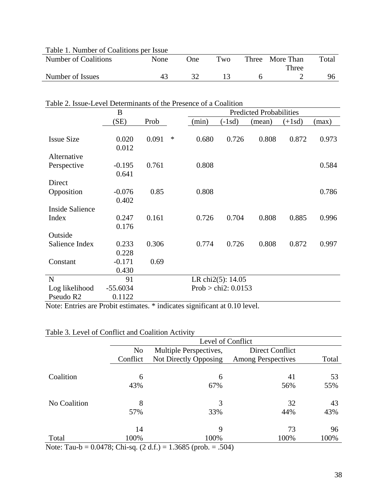| Table 1. Number of Coalitions per Issue |      |      |     |                 |       |
|-----------------------------------------|------|------|-----|-----------------|-------|
| Number of Coalitions                    | None | One) | Two | Three More Than | Total |
|                                         |      |      |     | Three           |       |
| Number of Issues                        |      |      |     |                 |       |
|                                         |      |      |     |                 |       |

|                   | 19900 LOVOI DOWNINIUMIN'S OF THE FROMHOU OF TH<br>B |       |   | <b>Predicted Probabilities</b> |                       |        |          |       |
|-------------------|-----------------------------------------------------|-------|---|--------------------------------|-----------------------|--------|----------|-------|
|                   | (SE)                                                | Prob  |   | (min)                          | $(-1sd)$              | (mean) | $(+1sd)$ | (max) |
|                   |                                                     |       |   |                                |                       |        |          |       |
| <b>Issue Size</b> | 0.020                                               | 0.091 | ∗ | 0.680                          | 0.726                 | 0.808  | 0.872    | 0.973 |
|                   | 0.012                                               |       |   |                                |                       |        |          |       |
| Alternative       |                                                     |       |   |                                |                       |        |          |       |
| Perspective       | $-0.195$                                            | 0.761 |   | 0.808                          |                       |        |          | 0.584 |
|                   | 0.641                                               |       |   |                                |                       |        |          |       |
| Direct            |                                                     |       |   |                                |                       |        |          |       |
| Opposition        | $-0.076$                                            | 0.85  |   | 0.808                          |                       |        |          | 0.786 |
|                   | 0.402                                               |       |   |                                |                       |        |          |       |
| Inside Salience   |                                                     |       |   |                                |                       |        |          |       |
| Index             | 0.247                                               | 0.161 |   | 0.726                          | 0.704                 | 0.808  | 0.885    | 0.996 |
|                   | 0.176                                               |       |   |                                |                       |        |          |       |
| Outside           |                                                     |       |   |                                |                       |        |          |       |
| Salience Index    | 0.233                                               | 0.306 |   | 0.774                          | 0.726                 | 0.808  | 0.872    | 0.997 |
|                   | 0.228                                               |       |   |                                |                       |        |          |       |
| Constant          | $-0.171$                                            | 0.69  |   |                                |                       |        |          |       |
|                   | 0.430                                               |       |   |                                |                       |        |          |       |
| $\mathbf N$       | 91                                                  |       |   |                                | LR chi2(5): 14.05     |        |          |       |
| Log likelihood    | $-55.6034$                                          |       |   |                                | Prob > chi2: $0.0153$ |        |          |       |
| Pseudo R2         | 0.1122                                              |       |   |                                |                       |        |          |       |

## Table 2. Issue-Level Determinants of the Presence of a Coalition

Note: Entries are Probit estimates. \* indicates significant at 0.10 level.

## Table 3. Level of Conflict and Coalition Activity

|              | Level of Conflict |                        |                           |       |  |  |  |
|--------------|-------------------|------------------------|---------------------------|-------|--|--|--|
|              | N <sub>o</sub>    | Multiple Perspectives, | Direct Conflict           |       |  |  |  |
|              | Conflict          | Not Directly Opposing  | <b>Among Perspectives</b> | Total |  |  |  |
|              |                   |                        |                           |       |  |  |  |
| Coalition    | 6                 | 6                      | 41                        | 53    |  |  |  |
|              | 43%               | 67%                    | 56%                       | 55%   |  |  |  |
| No Coalition | 8                 | 3                      | 32                        | 43    |  |  |  |
|              | 57%               | 33%                    | 44%                       | 43%   |  |  |  |
|              | 14                | 9                      | 73                        | 96    |  |  |  |
| Total        | 100%              | 100%                   | 100%                      | 100%  |  |  |  |

Note: Tau-b = 0.0478; Chi-sq. (2 d.f.) = 1.3685 (prob. = .504)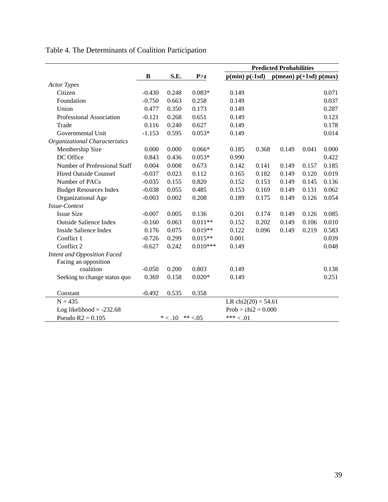|                                |          |           |            | <b>Predicted Probabilities</b> |       |                                        |       |       |
|--------------------------------|----------|-----------|------------|--------------------------------|-------|----------------------------------------|-------|-------|
|                                | B        | S.E.      | P > z      | $p(min) p(-1sd)$               |       | $p(\text{mean}) p(+1sd) p(\text{max})$ |       |       |
| <b>Actor Types</b>             |          |           |            |                                |       |                                        |       |       |
| Citizen                        | $-0.430$ | 0.248     | $0.083*$   | 0.149                          |       |                                        |       | 0.071 |
| Foundation                     | $-0.750$ | 0.663     | 0.258      | 0.149                          |       |                                        |       | 0.037 |
| Union                          | 0.477    | 0.350     | 0.173      | 0.149                          |       |                                        |       | 0.287 |
| Professional Association       | $-0.121$ | 0.268     | 0.651      | 0.149                          |       |                                        |       | 0.123 |
| Trade                          | 0.116    | 0.240     | 0.627      | 0.149                          |       |                                        |       | 0.178 |
| Governmental Unit              | $-1.153$ | 0.595     | $0.053*$   | 0.149                          |       |                                        |       | 0.014 |
| Organizational Characteristics |          |           |            |                                |       |                                        |       |       |
| Membership Size                | 0.000    | 0.000     | $0.066*$   | 0.185                          | 0.368 | 0.149                                  | 0.041 | 0.000 |
| DC Office                      | 0.843    | 0.436     | $0.053*$   | 0.990                          |       |                                        |       | 0.422 |
| Number of Professional Staff   | 0.004    | 0.008     | 0.673      | 0.142                          | 0.141 | 0.149                                  | 0.157 | 0.185 |
| <b>Hired Outside Counsel</b>   | $-0.037$ | 0.023     | 0.112      | 0.165                          | 0.182 | 0.149                                  | 0.120 | 0.019 |
| Number of PACs                 | $-0.035$ | 0.155     | 0.820      | 0.152                          | 0.153 | 0.149                                  | 0.145 | 0.136 |
| <b>Budget Resources Index</b>  | $-0.038$ | 0.055     | 0.485      | 0.153                          | 0.169 | 0.149                                  | 0.131 | 0.062 |
| Organizational Age             | $-0.003$ | 0.002     | 0.208      | 0.189                          | 0.175 | 0.149                                  | 0.126 | 0.054 |
| Issue-Context                  |          |           |            |                                |       |                                        |       |       |
| <b>Issue Size</b>              | $-0.007$ | 0.005     | 0.136      | 0.201                          | 0.174 | 0.149                                  | 0.126 | 0.085 |
| <b>Outside Salience Index</b>  | $-0.160$ | 0.063     | $0.011**$  | 0.152                          | 0.202 | 0.149                                  | 0.106 | 0.010 |
| <b>Inside Salience Index</b>   | 0.176    | 0.075     | $0.019**$  | 0.122                          | 0.096 | 0.149                                  | 0.219 | 0.583 |
| Conflict 1                     | $-0.726$ | 0.299     | $0.015**$  | 0.001                          |       |                                        |       | 0.039 |
| Conflict 2                     | $-0.627$ | 0.242     | $0.010***$ | 0.149                          |       |                                        |       | 0.048 |
| Intent and Opposition Faced    |          |           |            |                                |       |                                        |       |       |
| Facing an opposition           |          |           |            |                                |       |                                        |       |       |
| coalition                      | $-0.050$ | 0.200     | 0.803      | 0.149                          |       |                                        |       | 0.138 |
| Seeking to change status quo   | 0.369    | 0.158     | $0.020*$   | 0.149                          |       |                                        |       | 0.251 |
| Constant                       | $-0.492$ | 0.535     | 0.358      |                                |       |                                        |       |       |
| $N = 435$                      |          |           |            | LR chi $2(20) = 54.61$         |       |                                        |       |       |
| Log likelihood = $-232.68$     |          |           |            | Prob > chi $2 = 0.000$         |       |                                        |       |       |
| Pseudo $R2 = 0.105$            |          | $* < .10$ | ** $< 05$  | $***<.01$                      |       |                                        |       |       |

# Table 4. The Determinants of Coalition Participation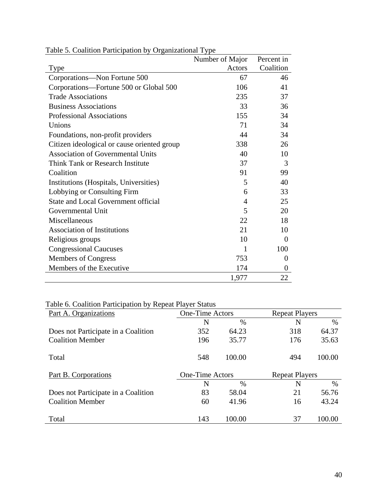|                                             | Number of Major | Percent in     |
|---------------------------------------------|-----------------|----------------|
| Type                                        | Actors          | Coalition      |
| Corporations-Non Fortune 500                | 67              | 46             |
| Corporations—Fortune 500 or Global 500      | 106             | 41             |
| <b>Trade Associations</b>                   | 235             | 37             |
| <b>Business Associations</b>                | 33              | 36             |
| <b>Professional Associations</b>            | 155             | 34             |
| Unions                                      | 71              | 34             |
| Foundations, non-profit providers           | 44              | 34             |
| Citizen ideological or cause oriented group | 338             | 26             |
| <b>Association of Governmental Units</b>    | 40              | 10             |
| <b>Think Tank or Research Institute</b>     | 37              | 3              |
| Coalition                                   | 91              | 99             |
| Institutions (Hospitals, Universities)      | 5               | 40             |
| Lobbying or Consulting Firm                 | 6               | 33             |
| State and Local Government official         | $\overline{4}$  | 25             |
| Governmental Unit                           | 5               | 20             |
| Miscellaneous                               | 22              | 18             |
| <b>Association of Institutions</b>          | 21              | 10             |
| Religious groups                            | 10              | $\Omega$       |
| <b>Congressional Caucuses</b>               | 1               | 100            |
| <b>Members of Congress</b>                  | 753             | $\overline{0}$ |
| Members of the Executive                    | 174             | $\overline{0}$ |
|                                             | 1,977           | 22             |

Table 5. Coalition Participation by Organizational Type

# Table 6. Coalition Participation by Repeat Player Status

| Part A. Organizations               | <b>One-Time Actors</b> |        | <b>Repeat Players</b> |        |  |
|-------------------------------------|------------------------|--------|-----------------------|--------|--|
|                                     | N                      | $\%$   | N                     | $\%$   |  |
| Does not Participate in a Coalition | 352                    | 64.23  | 318                   | 64.37  |  |
| <b>Coalition Member</b>             | 196                    | 35.77  | 176                   | 35.63  |  |
| Total                               | 548                    | 100.00 | 494                   | 100.00 |  |
| Part B. Corporations                | <b>One-Time Actors</b> |        | <b>Repeat Players</b> |        |  |
|                                     | N                      | $\%$   | N                     | $\%$   |  |
| Does not Participate in a Coalition | 83                     | 58.04  | 21                    | 56.76  |  |
| <b>Coalition Member</b>             | 60                     | 41.96  | 16                    | 43.24  |  |
| Total                               | 143                    | 100.00 | 37                    | 100.00 |  |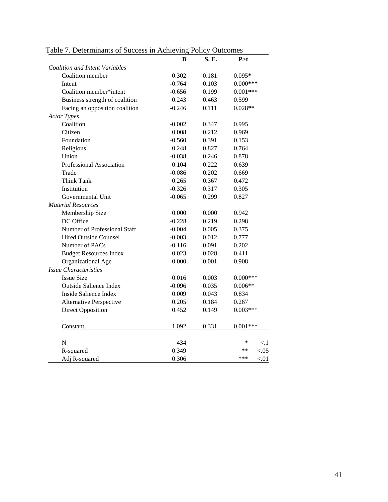|                                       | В        | S. E. | P > t            |
|---------------------------------------|----------|-------|------------------|
| <b>Coalition and Intent Variables</b> |          |       |                  |
| Coalition member                      | 0.302    | 0.181 | $0.095*$         |
| Intent                                | $-0.764$ | 0.103 | $0.000$ ***      |
| Coalition member*intent               | $-0.656$ | 0.199 | $0.001***$       |
| Business strength of coalition        | 0.243    | 0.463 | 0.599            |
| Facing an opposition coalition        | $-0.246$ | 0.111 | $0.028**$        |
| <b>Actor Types</b>                    |          |       |                  |
| Coalition                             | $-0.002$ | 0.347 | 0.995            |
| Citizen                               | 0.008    | 0.212 | 0.969            |
| Foundation                            | $-0.560$ | 0.391 | 0.153            |
| Religious                             | 0.248    | 0.827 | 0.764            |
| Union                                 | $-0.038$ | 0.246 | 0.878            |
| Professional Association              | 0.104    | 0.222 | 0.639            |
| Trade                                 | $-0.086$ | 0.202 | 0.669            |
| Think Tank                            | 0.265    | 0.367 | 0.472            |
| Institution                           | $-0.326$ | 0.317 | 0.305            |
| Governmental Unit                     | $-0.065$ | 0.299 | 0.827            |
| <b>Material Resources</b>             |          |       |                  |
| Membership Size                       | 0.000    | 0.000 | 0.942            |
| DC Office                             | $-0.228$ | 0.219 | 0.298            |
| Number of Professional Staff          | $-0.004$ | 0.005 | 0.375            |
| <b>Hired Outside Counsel</b>          | $-0.003$ | 0.012 | 0.777            |
| Number of PACs                        | $-0.116$ | 0.091 | 0.202            |
| <b>Budget Resources Index</b>         | 0.023    | 0.028 | 0.411            |
| Organizational Age                    | 0.000    | 0.001 | 0.908            |
| <b>Issue Characteristics</b>          |          |       |                  |
| <b>Issue Size</b>                     | 0.016    | 0.003 | $0.000***$       |
| <b>Outside Salience Index</b>         | $-0.096$ | 0.035 | $0.006**$        |
| <b>Inside Salience Index</b>          | 0.009    | 0.043 | 0.834            |
| <b>Alternative Perspective</b>        | 0.205    | 0.184 | 0.267            |
| <b>Direct Opposition</b>              | 0.452    | 0.149 | $0.003***$       |
| Constant                              | 1.092    | 0.331 | $0.001***$       |
| $\mathbf N$                           | 434      |       | ∗<br>< 1         |
| R-squared                             | 0.349    |       | $**$<br>${<}.05$ |
| Adj R-squared                         | 0.306    |       | ***<br>< 01      |
|                                       |          |       |                  |

Table 7. Determinants of Success in Achieving Policy Outcomes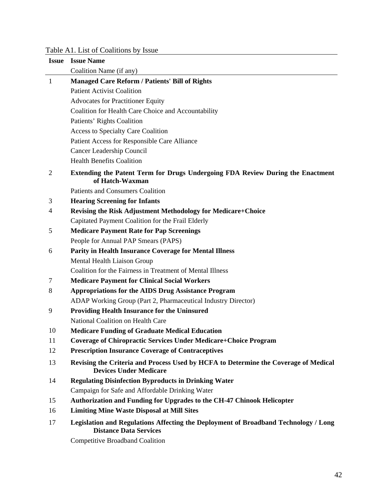# Table A1. List of Coalitions by Issue

| <b>Issue</b> | <b>Issue Name</b>                                                                                                    |
|--------------|----------------------------------------------------------------------------------------------------------------------|
|              | Coalition Name (if any)                                                                                              |
| $\mathbf{1}$ | <b>Managed Care Reform / Patients' Bill of Rights</b>                                                                |
|              | <b>Patient Activist Coalition</b>                                                                                    |
|              | <b>Advocates for Practitioner Equity</b>                                                                             |
|              | Coalition for Health Care Choice and Accountability                                                                  |
|              | Patients' Rights Coalition                                                                                           |
|              | <b>Access to Specialty Care Coalition</b>                                                                            |
|              | Patient Access for Responsible Care Alliance                                                                         |
|              | Cancer Leadership Council                                                                                            |
|              | <b>Health Benefits Coalition</b>                                                                                     |
| 2            | Extending the Patent Term for Drugs Undergoing FDA Review During the Enactment<br>of Hatch-Waxman                    |
|              | <b>Patients and Consumers Coalition</b>                                                                              |
| 3            | <b>Hearing Screening for Infants</b>                                                                                 |
| 4            | <b>Revising the Risk Adjustment Methodology for Medicare+Choice</b>                                                  |
|              | Capitated Payment Coalition for the Frail Elderly                                                                    |
| 5            | <b>Medicare Payment Rate for Pap Screenings</b>                                                                      |
|              | People for Annual PAP Smears (PAPS)                                                                                  |
| 6            | <b>Parity in Health Insurance Coverage for Mental Illness</b>                                                        |
|              | Mental Health Liaison Group                                                                                          |
|              | Coalition for the Fairness in Treatment of Mental Illness                                                            |
| 7            | <b>Medicare Payment for Clinical Social Workers</b>                                                                  |
| 8            | <b>Appropriations for the AIDS Drug Assistance Program</b>                                                           |
|              | ADAP Working Group (Part 2, Pharmaceutical Industry Director)                                                        |
| 9            | <b>Providing Health Insurance for the Uninsured</b>                                                                  |
|              | National Coalition on Health Care                                                                                    |
| 10           | <b>Medicare Funding of Graduate Medical Education</b>                                                                |
| 11           | <b>Coverage of Chiropractic Services Under Medicare+Choice Program</b>                                               |
| 12           | <b>Prescription Insurance Coverage of Contraceptives</b>                                                             |
| 13           | Revising the Criteria and Process Used by HCFA to Determine the Coverage of Medical<br><b>Devices Under Medicare</b> |
| 14           | <b>Regulating Disinfection Byproducts in Drinking Water</b>                                                          |
|              | Campaign for Safe and Affordable Drinking Water                                                                      |
| 15           | Authorization and Funding for Upgrades to the CH-47 Chinook Helicopter                                               |
| 16           | <b>Limiting Mine Waste Disposal at Mill Sites</b>                                                                    |
| 17           | Legislation and Regulations Affecting the Deployment of Broadband Technology / Long<br><b>Distance Data Services</b> |
|              | Compositive Dreadhand Coolitian                                                                                      |

Competitive Broadband Coalition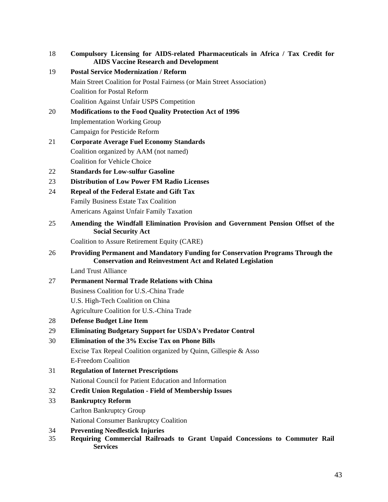- 18 **Compulsory Licensing for AIDS-related Pharmaceuticals in Africa / Tax Credit for AIDS Vaccine Research and Development**
- 19 **Postal Service Modernization / Reform**  Main Street Coalition for Postal Fairness (or Main Street Association) Coalition for Postal Reform Coalition Against Unfair USPS Competition
- 20 **Modifications to the Food Quality Protection Act of 1996**  Implementation Working Group Campaign for Pesticide Reform
- 21 **Corporate Average Fuel Economy Standards**  Coalition organized by AAM (not named) Coalition for Vehicle Choice
- 22 **Standards for Low-sulfur Gasoline**
- 23 **Distribution of Low Power FM Radio Licenses**
- 24 **Repeal of the Federal Estate and Gift Tax**  Family Business Estate Tax Coalition Americans Against Unfair Family Taxation
- 25 **Amending the Windfall Elimination Provision and Government Pension Offset of the Social Security Act**

Coalition to Assure Retirement Equity (CARE)

26 **Providing Permanent and Mandatory Funding for Conservation Programs Through the Conservation and Reinvestment Act and Related Legislation** 

Land Trust Alliance

27 **Permanent Normal Trade Relations with China** 

Business Coalition for U.S.-China Trade

U.S. High-Tech Coalition on China

Agriculture Coalition for U.S.-China Trade

- 28 **Defense Budget Line Item**
- 29 **Eliminating Budgetary Support for USDA's Predator Control**
- 30 **Elimination of the 3% Excise Tax on Phone Bills**

 Excise Tax Repeal Coalition organized by Quinn, Gillespie & Asso E-Freedom Coalition

- 31 **Regulation of Internet Prescriptions**  National Council for Patient Education and Information
- 32 **Credit Union Regulation Field of Membership Issues**
- 33 **Bankruptcy Reform**

Carlton Bankruptcy Group

National Consumer Bankruptcy Coalition

- 34 **Preventing Needlestick Injuries**
- 35 **Requiring Commercial Railroads to Grant Unpaid Concessions to Commuter Rail Services**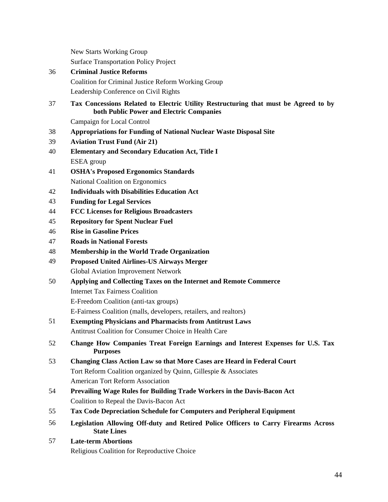New Starts Working Group

Surface Transportation Policy Project

- 36 **Criminal Justice Reforms**  Coalition for Criminal Justice Reform Working Group
	- Leadership Conference on Civil Rights
- 37 **Tax Concessions Related to Electric Utility Restructuring that must be Agreed to by both Public Power and Electric Companies**

Campaign for Local Control

- 38 **Appropriations for Funding of National Nuclear Waste Disposal Site**
- 39 **Aviation Trust Fund (Air 21)**
- 40 **Elementary and Secondary Education Act, Title I**  ESEA group
- 41 **OSHA's Proposed Ergonomics Standards**  National Coalition on Ergonomics
- 42 **Individuals with Disabilities Education Act**
- 43 **Funding for Legal Services**
- 44 **FCC Licenses for Religious Broadcasters**
- 45 **Repository for Spent Nuclear Fuel**
- 46 **Rise in Gasoline Prices**
- 47 **Roads in National Forests**
- 48 **Membership in the World Trade Organization**
- 49 **Proposed United Airlines-US Airways Merger**  Global Aviation Improvement Network
- 50 **Applying and Collecting Taxes on the Internet and Remote Commerce**  Internet Tax Fairness Coalition E-Freedom Coalition (anti-tax groups)

E-Fairness Coalition (malls, developers, retailers, and realtors)

- 51 **Exempting Physicians and Pharmacists from Antitrust Laws**  Antitrust Coalition for Consumer Choice in Health Care
- 52 **Change How Companies Treat Foreign Earnings and Interest Expenses for U.S. Tax Purposes**
- 53 **Changing Class Action Law so that More Cases are Heard in Federal Court**  Tort Reform Coalition organized by Quinn, Gillespie & Associates American Tort Reform Association
- 54 **Prevailing Wage Rules for Building Trade Workers in the Davis-Bacon Act**  Coalition to Repeal the Davis-Bacon Act
- 55 **Tax Code Depreciation Schedule for Computers and Peripheral Equipment**
- 56 **Legislation Allowing Off-duty and Retired Police Officers to Carry Firearms Across State Lines**
- 57 **Late-term Abortions**  Religious Coalition for Reproductive Choice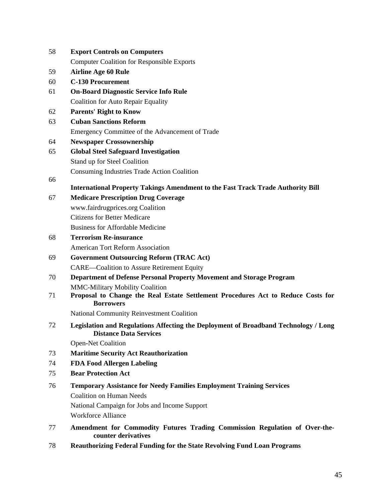| 58 | <b>Export Controls on Computers</b>                                                                                                                                                          |
|----|----------------------------------------------------------------------------------------------------------------------------------------------------------------------------------------------|
|    | <b>Computer Coalition for Responsible Exports</b>                                                                                                                                            |
| 59 | <b>Airline Age 60 Rule</b>                                                                                                                                                                   |
| 60 | <b>C-130 Procurement</b>                                                                                                                                                                     |
| 61 | <b>On-Board Diagnostic Service Info Rule</b>                                                                                                                                                 |
|    | <b>Coalition for Auto Repair Equality</b>                                                                                                                                                    |
| 62 | <b>Parents' Right to Know</b>                                                                                                                                                                |
| 63 | <b>Cuban Sanctions Reform</b>                                                                                                                                                                |
|    | Emergency Committee of the Advancement of Trade                                                                                                                                              |
| 64 | <b>Newspaper Crossownership</b>                                                                                                                                                              |
| 65 | <b>Global Steel Safeguard Investigation</b>                                                                                                                                                  |
|    | Stand up for Steel Coalition                                                                                                                                                                 |
|    | Consuming Industries Trade Action Coalition                                                                                                                                                  |
| 66 |                                                                                                                                                                                              |
|    | <b>International Property Takings Amendment to the Fast Track Trade Authority Bill</b>                                                                                                       |
| 67 | <b>Medicare Prescription Drug Coverage</b>                                                                                                                                                   |
|    | www.fairdrugprices.org Coalition<br><b>Citizens for Better Medicare</b>                                                                                                                      |
|    |                                                                                                                                                                                              |
|    | <b>Business for Affordable Medicine</b>                                                                                                                                                      |
| 68 | <b>Terrorism Re-insurance</b>                                                                                                                                                                |
|    | <b>American Tort Reform Association</b>                                                                                                                                                      |
| 69 | <b>Government Outsourcing Reform (TRAC Act)</b>                                                                                                                                              |
|    | <b>CARE—Coalition to Assure Retirement Equity</b>                                                                                                                                            |
| 70 | Department of Defense Personal Property Movement and Storage Program                                                                                                                         |
| 71 | <b>MMC-Military Mobility Coalition</b><br>Proposal to Change the Real Estate Settlement Procedures Act to Reduce Costs for<br><b>Borrowers</b>                                               |
|    | <b>National Community Reinvestment Coalition</b>                                                                                                                                             |
| 72 | Legislation and Regulations Affecting the Deployment of Broadband Technology / Long<br><b>Distance Data Services</b>                                                                         |
|    | <b>Open-Net Coalition</b>                                                                                                                                                                    |
| 73 | <b>Maritime Security Act Reauthorization</b>                                                                                                                                                 |
| 74 | <b>FDA Food Allergen Labeling</b>                                                                                                                                                            |
| 75 | <b>Bear Protection Act</b>                                                                                                                                                                   |
| 76 | <b>Temporary Assistance for Needy Families Employment Training Services</b><br><b>Coalition on Human Needs</b><br>National Campaign for Jobs and Income Support<br><b>Workforce Alliance</b> |
| 77 | Amendment for Commodity Futures Trading Commission Regulation of Over-the-<br>counter derivatives                                                                                            |

78 **Reauthorizing Federal Funding for the State Revolving Fund Loan Programs**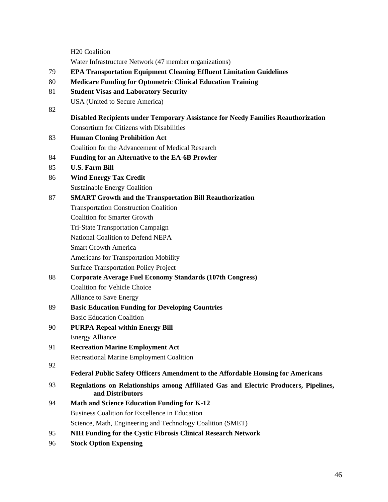H20 Coalition

Water Infrastructure Network (47 member organizations)

- 79 **EPA Transportation Equipment Cleaning Effluent Limitation Guidelines**
- 80 **Medicare Funding for Optometric Clinical Education Training**
- 81 **Student Visas and Laboratory Security**
- USA (United to Secure America) 82
	- **Disabled Recipients under Temporary Assistance for Needy Families Reauthorization**  Consortium for Citizens with Disabilities
- 83 **Human Cloning Prohibition Act**  Coalition for the Advancement of Medical Research
- 84 **Funding for an Alternative to the EA-6B Prowler**
- 85 **U.S. Farm Bill**
- 86 **Wind Energy Tax Credit**  Sustainable Energy Coalition
- 87 **SMART Growth and the Transportation Bill Reauthorization** 
	- Transportation Construction Coalition
		- Coalition for Smarter Growth
	- Tri-State Transportation Campaign

National Coalition to Defend NEPA

Smart Growth America

Americans for Transportation Mobility

Surface Transportation Policy Project

# 88 **Corporate Average Fuel Economy Standards (107th Congress)**

 Coalition for Vehicle Choice Alliance to Save Energy

- 89 **Basic Education Funding for Developing Countries**  Basic Education Coalition
- 90 **PURPA Repeal within Energy Bill**  Energy Alliance
- 91 **Recreation Marine Employment Act**  Recreational Marine Employment Coalition
- 92
- **Federal Public Safety Officers Amendment to the Affordable Housing for Americans**
- 93 **Regulations on Relationships among Affiliated Gas and Electric Producers, Pipelines, and Distributors**
- 94 **Math and Science Education Funding for K-12**  Business Coalition for Excellence in Education Science, Math, Engineering and Technology Coalition (SMET)
- 95 **NIH Funding for the Cystic Fibrosis Clinical Research Network**
- 96 **Stock Option Expensing**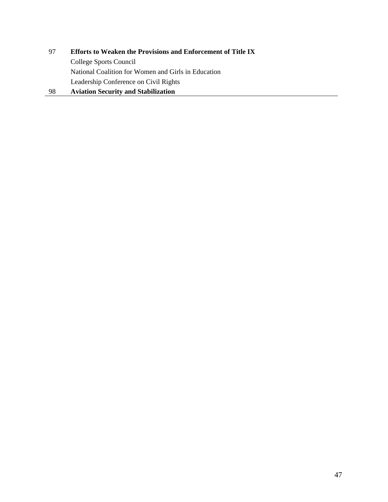97 **Efforts to Weaken the Provisions and Enforcement of Title IX**  College Sports Council National Coalition for Women and Girls in Education Leadership Conference on Civil Rights 98 **Aviation Security and Stabilization**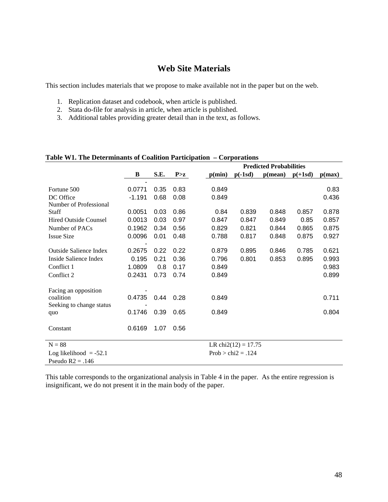## **Web Site Materials**

This section includes materials that we propose to make available not in the paper but on the web.

- 1. Replication dataset and codebook, when article is published.
- 2. Stata do-file for analysis in article, when article is published.
- 3. Additional tables providing greater detail than in the text, as follows.

| таяк 111. тис всестиннания от сланили тагистратон – сли рогановя |                         |              |              | <b>Predicted Probabilities</b> |                        |                  |                |                |
|------------------------------------------------------------------|-------------------------|--------------|--------------|--------------------------------|------------------------|------------------|----------------|----------------|
|                                                                  | B                       | S.E.         | P > z        | p(min)                         | $p(-1sd)$              | $p(\text{mean})$ | $p(+1sd)$      | p(max)         |
| Fortune 500<br>DC Office                                         | ۰<br>0.0771<br>$-1.191$ | 0.35<br>0.68 | 0.83<br>0.08 | 0.849<br>0.849                 |                        |                  |                | 0.83<br>0.436  |
| Number of Professional                                           |                         |              |              |                                |                        |                  |                |                |
| <b>Staff</b><br><b>Hired Outside Counsel</b>                     | 0.0051<br>0.0013        | 0.03<br>0.03 | 0.86<br>0.97 | 0.84<br>0.847                  | 0.839<br>0.847         | 0.848<br>0.849   | 0.857<br>0.85  | 0.878<br>0.857 |
| Number of PACs<br><b>Issue Size</b>                              | 0.1962<br>0.0096        | 0.34<br>0.01 | 0.56<br>0.48 | 0.829<br>0.788                 | 0.821<br>0.817         | 0.844<br>0.848   | 0.865<br>0.875 | 0.875<br>0.927 |
| <b>Outside Salience Index</b>                                    | 0.2675                  | 0.22         | 0.22         | 0.879                          | 0.895                  | 0.846            | 0.785          | 0.621          |
| Inside Salience Index                                            | 0.195                   | 0.21         | 0.36         | 0.796                          | 0.801                  | 0.853            | 0.895          | 0.993          |
| Conflict 1<br>Conflict 2                                         | 1.0809<br>0.2431        | 0.8<br>0.73  | 0.17<br>0.74 | 0.849<br>0.849                 |                        |                  |                | 0.983<br>0.899 |
| Facing an opposition                                             |                         |              |              |                                |                        |                  |                |                |
| coalition<br>Seeking to change status                            | 0.4735                  | 0.44         | 0.28         | 0.849                          |                        |                  |                | 0.711          |
| quo                                                              | 0.1746                  | 0.39         | 0.65         | 0.849                          |                        |                  |                | 0.804          |
| Constant                                                         | 0.6169                  | 1.07         | 0.56         |                                |                        |                  |                |                |
| $N = 88$                                                         |                         |              |              |                                | LR chi $2(12) = 17.75$ |                  |                |                |
| Log likelihood $= -52.1$<br>Pseudo $R2 = .146$                   |                         |              |              |                                | $Prob > chi2 = .124$   |                  |                |                |

#### **Table W1. The Determinants of Coalition Participation – Corporations**

This table corresponds to the organizational analysis in Table 4 in the paper. As the entire regression is insignificant, we do not present it in the main body of the paper.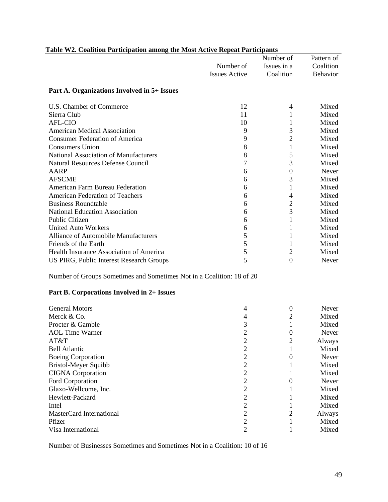| *************                                                         |                      | Number of        | Pattern of |
|-----------------------------------------------------------------------|----------------------|------------------|------------|
|                                                                       | Number of            | Issues in a      | Coalition  |
|                                                                       | <b>Issues Active</b> | Coalition        | Behavior   |
| Part A. Organizations Involved in 5+ Issues                           |                      |                  |            |
|                                                                       |                      |                  |            |
| U.S. Chamber of Commerce                                              | 12                   | 4                | Mixed      |
| Sierra Club                                                           | 11                   | 1                | Mixed      |
| <b>AFL-CIO</b>                                                        | 10                   | 1                | Mixed      |
| <b>American Medical Association</b>                                   | 9                    | 3                | Mixed      |
| <b>Consumer Federation of America</b>                                 | 9                    | $\overline{2}$   | Mixed      |
| <b>Consumers Union</b>                                                | $8\,$                | $\mathbf{1}$     | Mixed      |
| National Association of Manufacturers                                 | 8                    | 5                | Mixed      |
| <b>Natural Resources Defense Council</b>                              | 7                    | 3                | Mixed      |
| <b>AARP</b>                                                           | 6                    | $\boldsymbol{0}$ | Never      |
| <b>AFSCME</b>                                                         | 6                    | 3                | Mixed      |
| <b>American Farm Bureau Federation</b>                                | 6                    | $\mathbf{1}$     | Mixed      |
| American Federation of Teachers                                       | 6                    | $\overline{4}$   | Mixed      |
| <b>Business Roundtable</b>                                            | 6                    | $\overline{2}$   | Mixed      |
| <b>National Education Association</b>                                 | 6                    | 3                | Mixed      |
| <b>Public Citizen</b>                                                 | 6                    | $\mathbf{1}$     | Mixed      |
| <b>United Auto Workers</b>                                            | 6                    | 1                | Mixed      |
| <b>Alliance of Automobile Manufacturers</b>                           | 5                    | 1                | Mixed      |
| Friends of the Earth                                                  | 5                    | 1                | Mixed      |
| Health Insurance Association of America                               | 5                    | $\mathfrak{2}$   | Mixed      |
| US PIRG, Public Interest Research Groups                              | 5                    | $\overline{0}$   | Never      |
| Number of Groups Sometimes and Sometimes Not in a Coalition: 18 of 20 |                      |                  |            |
| Part B. Corporations Involved in 2+ Issues                            |                      |                  |            |
| <b>General Motors</b>                                                 | 4                    | $\boldsymbol{0}$ | Never      |
| Merck & Co.                                                           | 4                    | $\mathbf{2}$     | Mixed      |
| Procter & Gamble                                                      | 3                    | 1                | Mixed      |
| <b>AOL</b> Time Warner                                                | $\overline{2}$       | 0                | Never      |
| AT&T                                                                  | $\mathbf{2}$         | $\sqrt{2}$       | Always     |
| <b>Bell Atlantic</b>                                                  | $\overline{c}$       | 1                | Mixed      |
| <b>Boeing Corporation</b>                                             | $\overline{2}$       | $\boldsymbol{0}$ | Never      |
| <b>Bristol-Meyer Squibb</b>                                           | $\overline{c}$       | 1                | Mixed      |
| <b>CIGNA</b> Corporation                                              | $\overline{2}$       | 1                | Mixed      |
| Ford Corporation                                                      | $\overline{c}$       | $\boldsymbol{0}$ | Never      |
| Glaxo-Wellcome, Inc.                                                  | $\overline{c}$       | 1                | Mixed      |
| Hewlett-Packard                                                       | $\overline{2}$       | 1                | Mixed      |
| Intel                                                                 | $\overline{c}$       | 1                | Mixed      |
| MasterCard International                                              | $\overline{c}$       | $\overline{2}$   | Always     |
| Pfizer                                                                | $\overline{2}$       | 1                | Mixed      |
| Visa International                                                    | $\overline{2}$       | 1                | Mixed      |
|                                                                       |                      |                  |            |

# **Table W2. Coalition Participation among the Most Active Repeat Participants**

Number of Businesses Sometimes and Sometimes Not in a Coalition: 10 of 16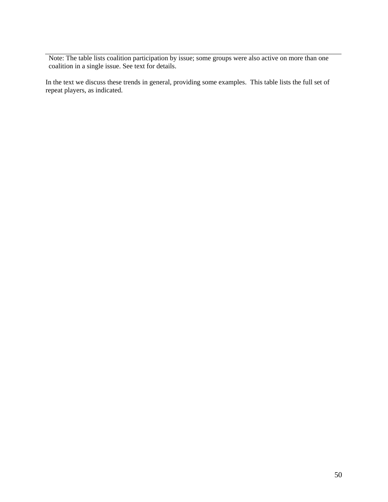Note: The table lists coalition participation by issue; some groups were also active on more than one coalition in a single issue. See text for details.

In the text we discuss these trends in general, providing some examples. This table lists the full set of repeat players, as indicated.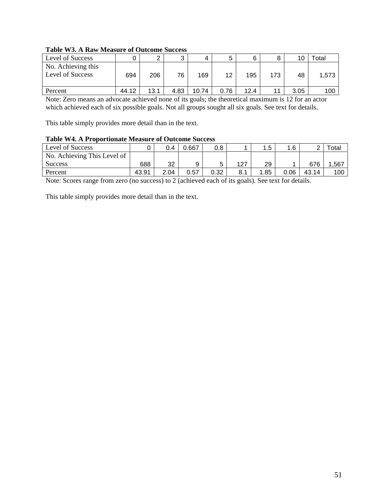#### **Table W3. A Raw Measure of Outcome Success**

| Level of Success                       |       | ⌒    | ົ    | 4     |      | 6    |     | 10   | ™otal |
|----------------------------------------|-------|------|------|-------|------|------|-----|------|-------|
| No. Achieving this<br>Level of Success | 694   | 206  | 76   | 169   | 12   | 195  | 173 | 48   | 1,573 |
| Percent                                | 44.12 | 13.1 | 4.83 | 10.74 | 0.76 | 12.4 |     | 3.05 | 100   |

Note: Zero means an advocate achieved none of its goals; the theoretical maximum is 12 for an actor which achieved each of six possible goals. Not all groups sought all six goals. See text for details.

This table simply provides more detail than in the text.

#### **Table W4. A Proportionate Measure of Outcome Success**

| Level of Success            |       | 0.4  | J.667 | 0.8  |     | . 5  | 1.6  |       | ctal |
|-----------------------------|-------|------|-------|------|-----|------|------|-------|------|
| No. Achieving This Level of |       |      |       |      |     |      |      |       |      |
| <b>Success</b>              | 688   | 32   |       |      | 127 | 29   |      | 676   | .567 |
| Percent                     | 43.91 | 2.04 | 0.57  | 0.32 | 8.1 | 1.85 | 0.06 | 43.14 | 100  |

Note: Scores range from zero (no success) to 2 (achieved each of its goals). See text for details.

This table simply provides more detail than in the text.